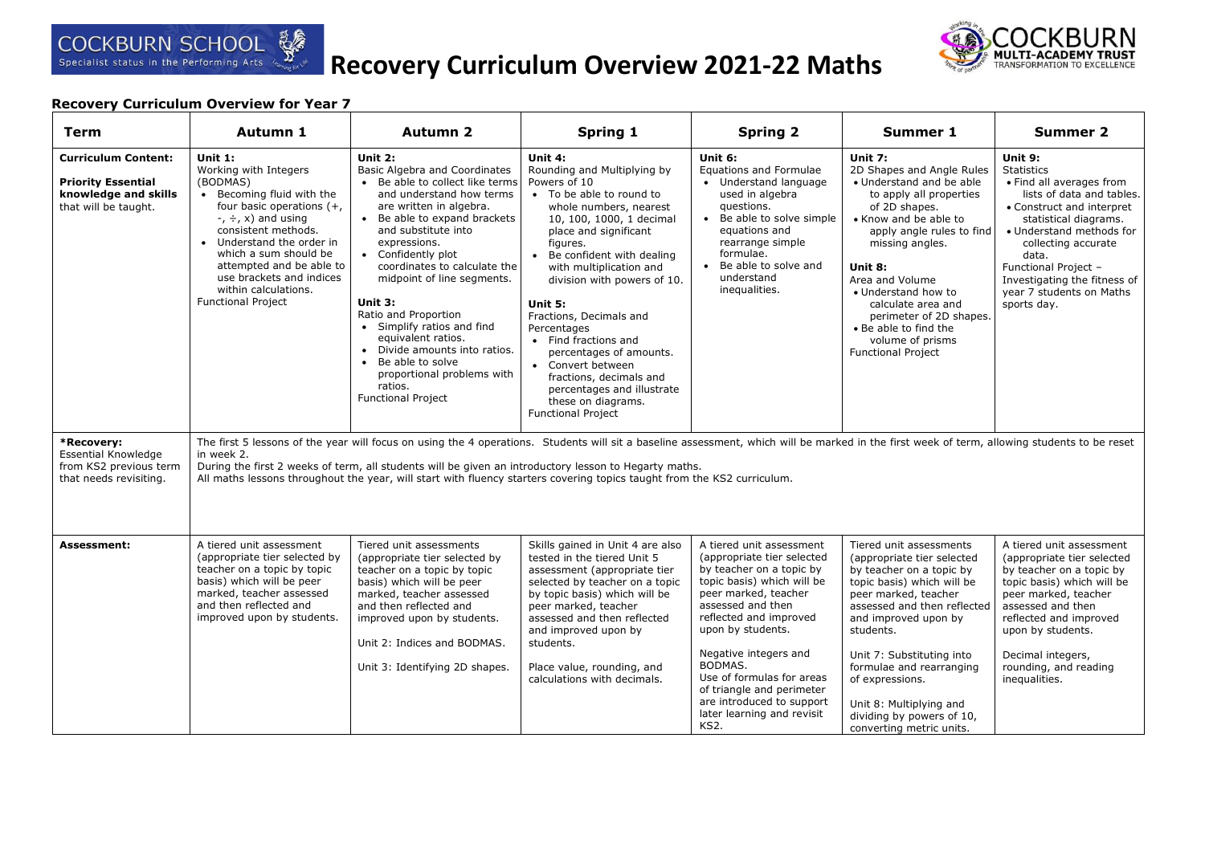

# **Recovery Curriculum Overview for Year 7**

| Term                                                                                                    | Autumn 1                                                                                                                                                                                                                                                                                                                               | <b>Autumn 2</b>                                                                                                                                                                                                                                                                                                                                                                                                                                                                                                                 | Spring 1                                                                                                                                                                                                                                                                                                                                                                                                                                                                                                      | <b>Spring 2</b>                                                                                                                                                                                                                                                                                                                                                                            | Summer 1                                                                                                                                                                                                                                                                                                                                                                    | <b>Summer 2</b>                                                                                                                                                                                                                                                                                            |
|---------------------------------------------------------------------------------------------------------|----------------------------------------------------------------------------------------------------------------------------------------------------------------------------------------------------------------------------------------------------------------------------------------------------------------------------------------|---------------------------------------------------------------------------------------------------------------------------------------------------------------------------------------------------------------------------------------------------------------------------------------------------------------------------------------------------------------------------------------------------------------------------------------------------------------------------------------------------------------------------------|---------------------------------------------------------------------------------------------------------------------------------------------------------------------------------------------------------------------------------------------------------------------------------------------------------------------------------------------------------------------------------------------------------------------------------------------------------------------------------------------------------------|--------------------------------------------------------------------------------------------------------------------------------------------------------------------------------------------------------------------------------------------------------------------------------------------------------------------------------------------------------------------------------------------|-----------------------------------------------------------------------------------------------------------------------------------------------------------------------------------------------------------------------------------------------------------------------------------------------------------------------------------------------------------------------------|------------------------------------------------------------------------------------------------------------------------------------------------------------------------------------------------------------------------------------------------------------------------------------------------------------|
| <b>Curriculum Content:</b><br><b>Priority Essential</b><br>knowledge and skills<br>that will be taught. | Unit $1:$<br>Working with Integers<br>(BODMAS)<br>• Becoming fluid with the<br>four basic operations $(+,$<br>$\div$ , $\div$ , x) and using<br>consistent methods.<br>• Understand the order in<br>which a sum should be<br>attempted and be able to<br>use brackets and indices<br>within calculations.<br><b>Functional Project</b> | Unit 2:<br><b>Basic Algebra and Coordinates</b><br>Be able to collect like terms<br>and understand how terms<br>are written in algebra.<br>• Be able to expand brackets<br>and substitute into<br>expressions.<br>• Confidently plot<br>coordinates to calculate the<br>midpoint of line segments.<br>Unit 3:<br>Ratio and Proportion<br>• Simplify ratios and find<br>equivalent ratios.<br>Divide amounts into ratios.<br>$\bullet$<br>Be able to solve<br>proportional problems with<br>ratios.<br><b>Functional Project</b> | Unit 4:<br>Rounding and Multiplying by<br>Powers of 10<br>• To be able to round to<br>whole numbers, nearest<br>10, 100, 1000, 1 decimal<br>place and significant<br>figures.<br>Be confident with dealing<br>with multiplication and<br>division with powers of 10.<br>Unit 5:<br>Fractions, Decimals and<br>Percentages<br>• Find fractions and<br>percentages of amounts.<br>• Convert between<br>fractions, decimals and<br>percentages and illustrate<br>these on diagrams.<br><b>Functional Project</b> | Unit 6:<br>Equations and Formulae<br>• Understand language<br>used in algebra<br>questions.<br>• Be able to solve simple<br>equations and<br>rearrange simple<br>formulae.<br>• Be able to solve and<br>understand<br>inequalities.                                                                                                                                                        | Unit 7:<br>2D Shapes and Angle Rules<br>• Understand and be able<br>to apply all properties<br>of 2D shapes.<br>• Know and be able to<br>apply angle rules to find<br>missing angles.<br>Unit 8:<br>Area and Volume<br>• Understand how to<br>calculate area and<br>perimeter of 2D shapes.<br>• Be able to find the<br>volume of prisms<br><b>Functional Project</b>       | Unit 9:<br><b>Statistics</b><br>• Find all averages from<br>lists of data and tables.<br>• Construct and interpret<br>statistical diagrams.<br>· Understand methods for<br>collecting accurate<br>data.<br>Functional Project -<br>Investigating the fitness of<br>year 7 students on Maths<br>sports day. |
| *Recovery:<br><b>Essential Knowledge</b><br>from KS2 previous term<br>that needs revisiting.            | in week 2.                                                                                                                                                                                                                                                                                                                             |                                                                                                                                                                                                                                                                                                                                                                                                                                                                                                                                 | The first 5 lessons of the year will focus on using the 4 operations. Students will sit a baseline assessment, which will be marked in the first week of term, allowing students to be reset<br>During the first 2 weeks of term, all students will be given an introductory lesson to Hegarty maths.<br>All maths lessons throughout the year, will start with fluency starters covering topics taught from the KS2 curriculum.                                                                              |                                                                                                                                                                                                                                                                                                                                                                                            |                                                                                                                                                                                                                                                                                                                                                                             |                                                                                                                                                                                                                                                                                                            |
| <b>Assessment:</b>                                                                                      | A tiered unit assessment<br>(appropriate tier selected by<br>teacher on a topic by topic<br>basis) which will be peer<br>marked, teacher assessed<br>and then reflected and<br>improved upon by students.                                                                                                                              | Tiered unit assessments<br>(appropriate tier selected by<br>teacher on a topic by topic<br>basis) which will be peer<br>marked, teacher assessed<br>and then reflected and<br>improved upon by students.<br>Unit 2: Indices and BODMAS.<br>Unit 3: Identifying 2D shapes.                                                                                                                                                                                                                                                       | Skills gained in Unit 4 are also<br>tested in the tiered Unit 5<br>assessment (appropriate tier<br>selected by teacher on a topic<br>by topic basis) which will be<br>peer marked, teacher<br>assessed and then reflected<br>and improved upon by<br>students.<br>Place value, rounding, and<br>calculations with decimals.                                                                                                                                                                                   | A tiered unit assessment<br>(appropriate tier selected<br>by teacher on a topic by<br>topic basis) which will be<br>peer marked, teacher<br>assessed and then<br>reflected and improved<br>upon by students.<br>Negative integers and<br>BODMAS.<br>Use of formulas for areas<br>of triangle and perimeter<br>are introduced to support<br>later learning and revisit<br>KS <sub>2</sub> . | Tiered unit assessments<br>(appropriate tier selected<br>by teacher on a topic by<br>topic basis) which will be<br>peer marked, teacher<br>assessed and then reflected<br>and improved upon by<br>students.<br>Unit 7: Substituting into<br>formulae and rearranging<br>of expressions.<br>Unit 8: Multiplying and<br>dividing by powers of 10,<br>converting metric units. | A tiered unit assessment<br>(appropriate tier selected<br>by teacher on a topic by<br>topic basis) which will be<br>peer marked, teacher<br>assessed and then<br>reflected and improved<br>upon by students.<br>Decimal integers,<br>rounding, and reading<br>inequalities.                                |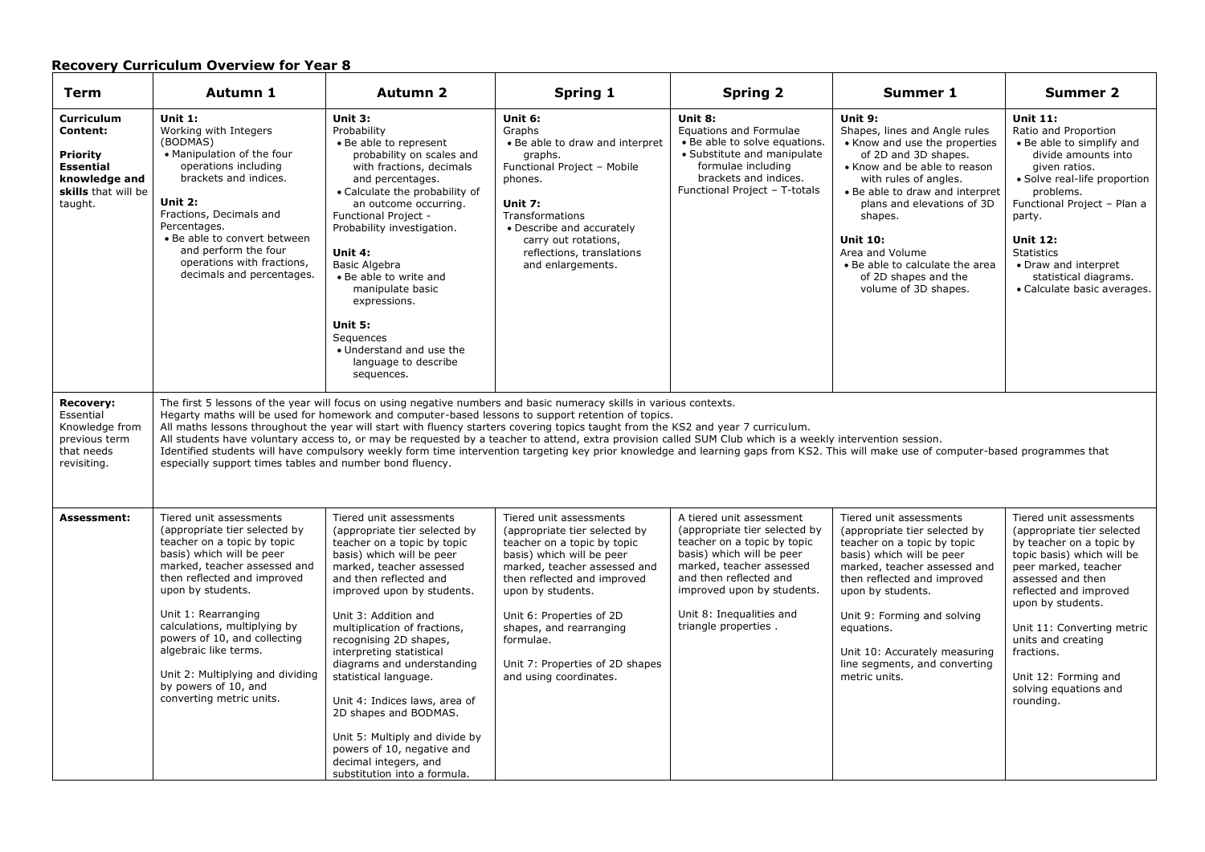# **Recovery Curriculum Overview for Year 8**

| <b>Term</b>                                                                                                      | Autumn 1                                                                                                                                                                                                                                                                                                                                                                                                         | <b>Autumn 2</b>                                                                                                                                                                                                                                                                                                                                                                                                                                                                                                                                                  | Spring 1                                                                                                                                                                                                                                                                                                                                                                                                                                                                                                                                                                                                                                                                                                              | <b>Spring 2</b>                                                                                                                                                                                                                                               | Summer 1                                                                                                                                                                                                                                                                                                                                                        | <b>Summer 2</b>                                                                                                                                                                                                                                                                                                                             |
|------------------------------------------------------------------------------------------------------------------|------------------------------------------------------------------------------------------------------------------------------------------------------------------------------------------------------------------------------------------------------------------------------------------------------------------------------------------------------------------------------------------------------------------|------------------------------------------------------------------------------------------------------------------------------------------------------------------------------------------------------------------------------------------------------------------------------------------------------------------------------------------------------------------------------------------------------------------------------------------------------------------------------------------------------------------------------------------------------------------|-----------------------------------------------------------------------------------------------------------------------------------------------------------------------------------------------------------------------------------------------------------------------------------------------------------------------------------------------------------------------------------------------------------------------------------------------------------------------------------------------------------------------------------------------------------------------------------------------------------------------------------------------------------------------------------------------------------------------|---------------------------------------------------------------------------------------------------------------------------------------------------------------------------------------------------------------------------------------------------------------|-----------------------------------------------------------------------------------------------------------------------------------------------------------------------------------------------------------------------------------------------------------------------------------------------------------------------------------------------------------------|---------------------------------------------------------------------------------------------------------------------------------------------------------------------------------------------------------------------------------------------------------------------------------------------------------------------------------------------|
| Curriculum<br>Content:<br><b>Priority</b><br><b>Essential</b><br>knowledge and<br>skills that will be<br>taught. | Unit 1:<br>Working with Integers<br>(BODMAS)<br>• Manipulation of the four<br>operations including<br>brackets and indices.<br>Unit 2:<br>Fractions, Decimals and<br>Percentages.<br>• Be able to convert between<br>and perform the four<br>operations with fractions,<br>decimals and percentages.                                                                                                             | Unit 3:<br>Probability<br>• Be able to represent<br>probability on scales and<br>with fractions, decimals<br>and percentages.<br>• Calculate the probability of<br>an outcome occurring.<br>Functional Project -<br>Probability investigation.<br>Unit 4:<br><b>Basic Algebra</b><br>• Be able to write and<br>manipulate basic<br>expressions.<br>Unit 5:<br>Sequences<br>• Understand and use the<br>language to describe<br>sequences.                                                                                                                        | Unit 6:<br>Graphs<br>• Be able to draw and interpret<br>graphs.<br>Functional Project - Mobile<br>phones.<br>Unit 7:<br>Transformations<br>• Describe and accurately<br>carry out rotations,<br>reflections, translations<br>and enlargements.                                                                                                                                                                                                                                                                                                                                                                                                                                                                        | Unit 8:<br><b>Equations and Formulae</b><br>• Be able to solve equations.<br>• Substitute and manipulate<br>formulae including<br>brackets and indices.<br>Functional Project - T-totals                                                                      | Unit 9:<br>Shapes, lines and Angle rules<br>• Know and use the properties<br>of 2D and 3D shapes.<br>• Know and be able to reason<br>with rules of angles.<br>• Be able to draw and interpret<br>plans and elevations of 3D<br>shapes.<br><b>Unit 10:</b><br>Area and Volume<br>• Be able to calculate the area<br>of 2D shapes and the<br>volume of 3D shapes. | <b>Unit 11:</b><br>Ratio and Proportion<br>• Be able to simplify and<br>divide amounts into<br>given ratios.<br>• Solve real-life proportion<br>problems.<br>Functional Project - Plan a<br>party.<br><b>Unit 12:</b><br><b>Statistics</b><br>• Draw and interpret<br>statistical diagrams.<br>• Calculate basic averages.                  |
| <b>Recovery:</b><br>Essential<br>Knowledge from<br>previous term<br>that needs<br>revisiting.                    | especially support times tables and number bond fluency.                                                                                                                                                                                                                                                                                                                                                         |                                                                                                                                                                                                                                                                                                                                                                                                                                                                                                                                                                  | The first 5 lessons of the year will focus on using negative numbers and basic numeracy skills in various contexts.<br>Hegarty maths will be used for homework and computer-based lessons to support retention of topics.<br>All maths lessons throughout the year will start with fluency starters covering topics taught from the KS2 and year 7 curriculum.<br>All students have voluntary access to, or may be requested by a teacher to attend, extra provision called SUM Club which is a weekly intervention session.<br>Identified students will have compulsory weekly form time intervention targeting key prior knowledge and learning gaps from KS2. This will make use of computer-based programmes that |                                                                                                                                                                                                                                                               |                                                                                                                                                                                                                                                                                                                                                                 |                                                                                                                                                                                                                                                                                                                                             |
| Assessment:                                                                                                      | Tiered unit assessments<br>(appropriate tier selected by<br>teacher on a topic by topic<br>basis) which will be peer<br>marked, teacher assessed and<br>then reflected and improved<br>upon by students.<br>Unit 1: Rearranging<br>calculations, multiplying by<br>powers of 10, and collecting<br>algebraic like terms.<br>Unit 2: Multiplying and dividing<br>by powers of 10, and<br>converting metric units. | Tiered unit assessments<br>(appropriate tier selected by<br>teacher on a topic by topic<br>basis) which will be peer<br>marked, teacher assessed<br>and then reflected and<br>improved upon by students.<br>Unit 3: Addition and<br>multiplication of fractions,<br>recognising 2D shapes,<br>interpreting statistical<br>diagrams and understanding<br>statistical language.<br>Unit 4: Indices laws, area of<br>2D shapes and BODMAS.<br>Unit 5: Multiply and divide by<br>powers of 10, negative and<br>decimal integers, and<br>substitution into a formula. | Tiered unit assessments<br>(appropriate tier selected by<br>teacher on a topic by topic<br>basis) which will be peer<br>marked, teacher assessed and<br>then reflected and improved<br>upon by students.<br>Unit 6: Properties of 2D<br>shapes, and rearranging<br>formulae.<br>Unit 7: Properties of 2D shapes<br>and using coordinates.                                                                                                                                                                                                                                                                                                                                                                             | A tiered unit assessment<br>(appropriate tier selected by<br>teacher on a topic by topic<br>basis) which will be peer<br>marked, teacher assessed<br>and then reflected and<br>improved upon by students.<br>Unit 8: Inequalities and<br>triangle properties. | Tiered unit assessments<br>(appropriate tier selected by<br>teacher on a topic by topic<br>basis) which will be peer<br>marked, teacher assessed and<br>then reflected and improved<br>upon by students.<br>Unit 9: Forming and solving<br>equations.<br>Unit 10: Accurately measuring<br>line segments, and converting<br>metric units.                        | Tiered unit assessments<br>(appropriate tier selected<br>by teacher on a topic by<br>topic basis) which will be<br>peer marked, teacher<br>assessed and then<br>reflected and improved<br>upon by students.<br>Unit 11: Converting metric<br>units and creating<br>fractions.<br>Unit 12: Forming and<br>solving equations and<br>rounding. |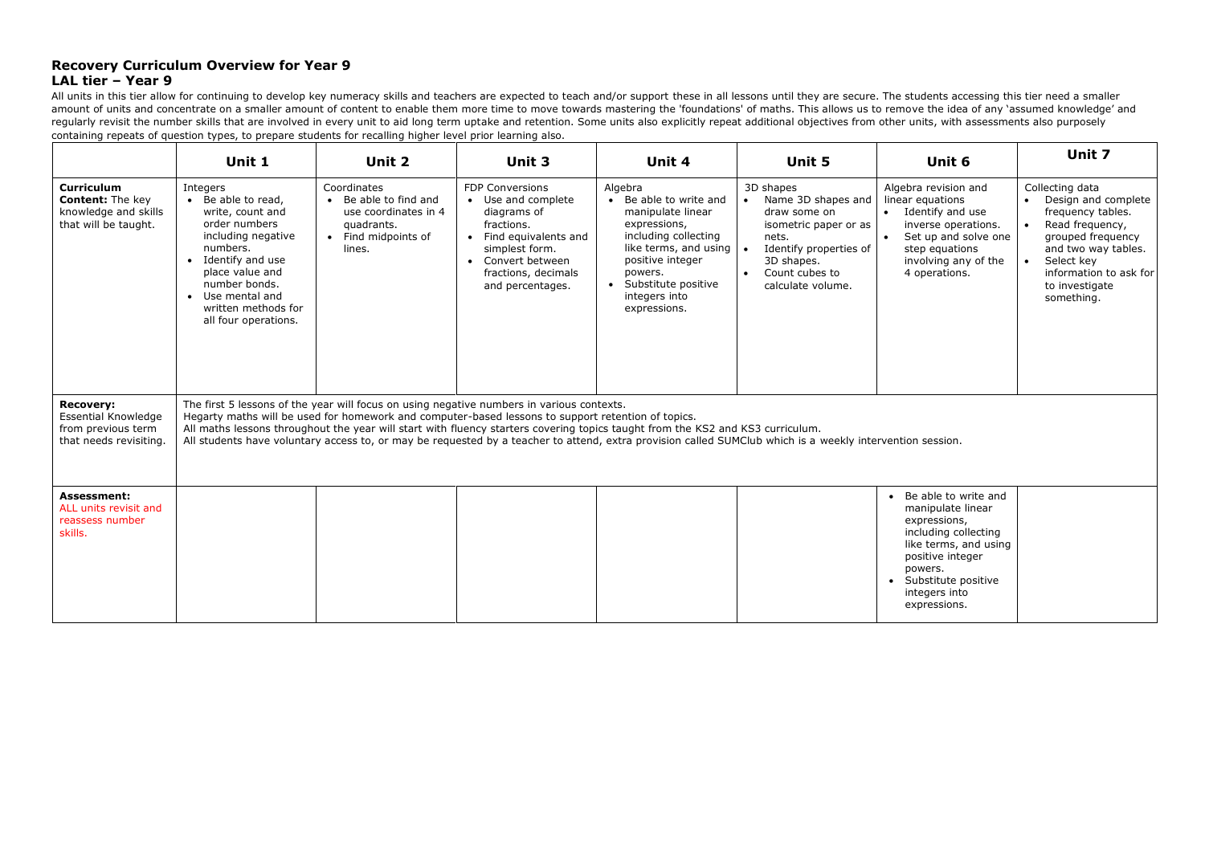### **Recovery Curriculum Overview for Year 9 LAL tier – Year 9**

All units in this tier allow for continuing to develop key numeracy skills and teachers are expected to teach and/or support these in all lessons until they are secure. The students accessing this tier need a smaller amount of units and concentrate on a smaller amount of content to enable them more time to move towards mastering the 'foundations' of maths. This allows us to remove the idea of any 'assumed knowledge' and regularly revisit the number skills that are involved in every unit to aid long term uptake and retention. Some units also explicitly repeat additional objectives from other units, with assessments also purposely containing repeats of question types, to prepare students for recalling higher level prior learning also.

|                                                                                              | Unit 1                                                                                                                                                                                                                                                                                                                                                                                                                                                                                         | Unit 2                                                                                                    | Unit 3                                                                                                                                                                                | Unit 4                                                                                                                                                                                                                                 | Unit 5                                                                                                                                                               | Unit 6                                                                                                                                                                                                | Unit 7                                                                                                                                                                                               |  |
|----------------------------------------------------------------------------------------------|------------------------------------------------------------------------------------------------------------------------------------------------------------------------------------------------------------------------------------------------------------------------------------------------------------------------------------------------------------------------------------------------------------------------------------------------------------------------------------------------|-----------------------------------------------------------------------------------------------------------|---------------------------------------------------------------------------------------------------------------------------------------------------------------------------------------|----------------------------------------------------------------------------------------------------------------------------------------------------------------------------------------------------------------------------------------|----------------------------------------------------------------------------------------------------------------------------------------------------------------------|-------------------------------------------------------------------------------------------------------------------------------------------------------------------------------------------------------|------------------------------------------------------------------------------------------------------------------------------------------------------------------------------------------------------|--|
| <b>Curriculum</b><br><b>Content: The kev</b><br>knowledge and skills<br>that will be taught. | Integers<br>• Be able to read,<br>write, count and<br>order numbers<br>including negative<br>numbers.<br>• Identify and use<br>place value and<br>number bonds.<br>• Use mental and<br>written methods for<br>all four operations.                                                                                                                                                                                                                                                             | Coordinates<br>• Be able to find and<br>use coordinates in 4<br>quadrants.<br>Find midpoints of<br>lines. | <b>FDP Conversions</b><br>• Use and complete<br>diagrams of<br>fractions.<br>• Find equivalents and<br>simplest form.<br>• Convert between<br>fractions, decimals<br>and percentages. | Algebra<br>• Be able to write and<br>manipulate linear<br>expressions,<br>including collecting<br>like terms, and using $\vert \bullet \vert$<br>positive integer<br>powers.<br>• Substitute positive<br>integers into<br>expressions. | 3D shapes<br>• Name 3D shapes and<br>draw some on<br>isometric paper or as<br>nets.<br>Identify properties of<br>3D shapes.<br>• Count cubes to<br>calculate volume. | Algebra revision and<br>linear equations<br>• Identify and use<br>inverse operations.<br>Set up and solve one<br>$\bullet$<br>step equations<br>involving any of the<br>4 operations.                 | Collecting data<br>• Design and complete<br>frequency tables.<br>Read frequency,<br>grouped frequency<br>and two way tables.<br>Select key<br>information to ask for<br>to investigate<br>something. |  |
| <b>Recovery:</b><br>Essential Knowledge<br>from previous term<br>that needs revisiting.      | The first 5 lessons of the year will focus on using negative numbers in various contexts.<br>Hegarty maths will be used for homework and computer-based lessons to support retention of topics.<br>All maths lessons throughout the year will start with fluency starters covering topics taught from the KS2 and KS3 curriculum.<br>All students have voluntary access to, or may be requested by a teacher to attend, extra provision called SUMClub which is a weekly intervention session. |                                                                                                           |                                                                                                                                                                                       |                                                                                                                                                                                                                                        |                                                                                                                                                                      |                                                                                                                                                                                                       |                                                                                                                                                                                                      |  |
| <b>Assessment:</b><br>ALL units revisit and<br>reassess number<br>skills.                    |                                                                                                                                                                                                                                                                                                                                                                                                                                                                                                |                                                                                                           |                                                                                                                                                                                       |                                                                                                                                                                                                                                        |                                                                                                                                                                      | • Be able to write and<br>manipulate linear<br>expressions,<br>including collecting<br>like terms, and using<br>positive integer<br>powers.<br>• Substitute positive<br>integers into<br>expressions. |                                                                                                                                                                                                      |  |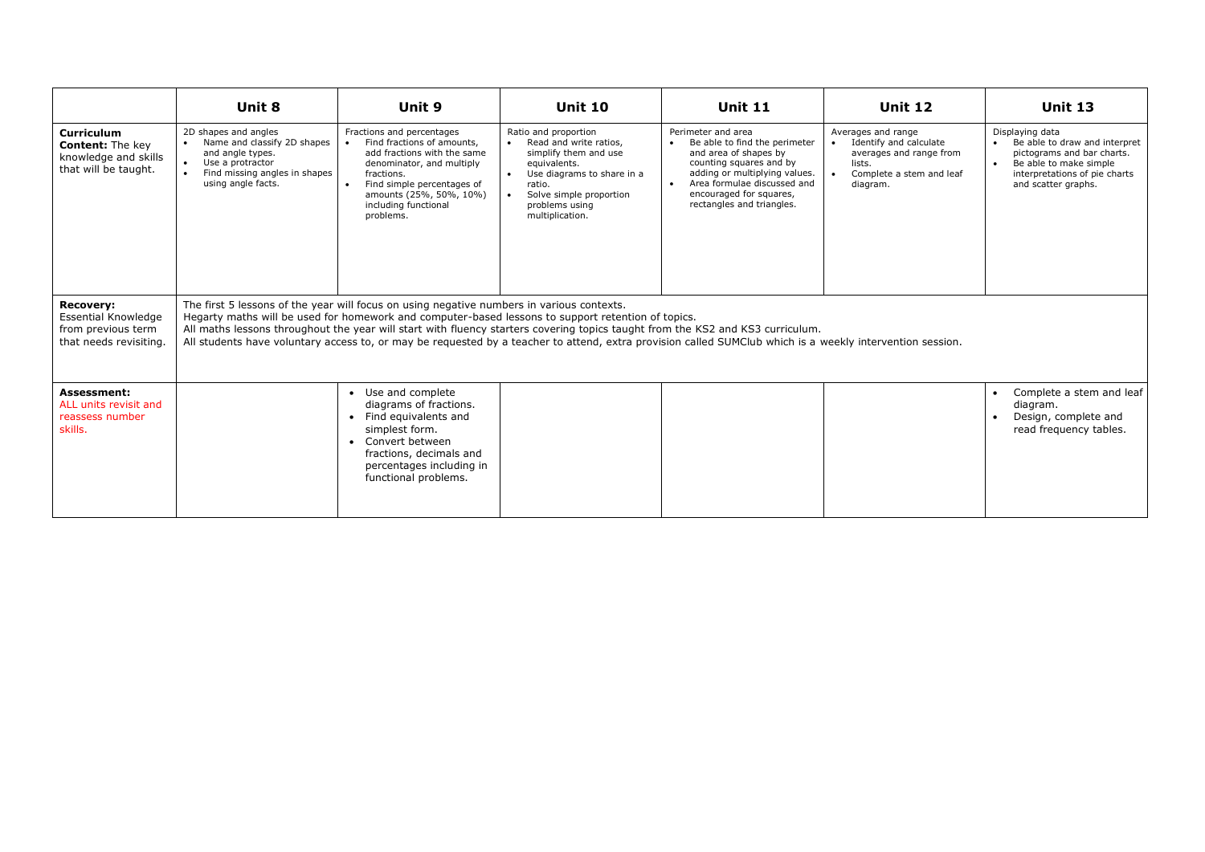|                                                                                                | Unit 8                                                                                                                                                                                                                                                                                                                                                                                                                                                                                         | Unit 9                                                                                                                                                                                                                                                    | <b>Unit 10</b>                                                                                                                                                                                                            | <b>Unit 11</b>                                                                                                                                                                                                                               | <b>Unit 12</b>                                                                                                            | <b>Unit 13</b>                                                                                                                                                                             |  |  |
|------------------------------------------------------------------------------------------------|------------------------------------------------------------------------------------------------------------------------------------------------------------------------------------------------------------------------------------------------------------------------------------------------------------------------------------------------------------------------------------------------------------------------------------------------------------------------------------------------|-----------------------------------------------------------------------------------------------------------------------------------------------------------------------------------------------------------------------------------------------------------|---------------------------------------------------------------------------------------------------------------------------------------------------------------------------------------------------------------------------|----------------------------------------------------------------------------------------------------------------------------------------------------------------------------------------------------------------------------------------------|---------------------------------------------------------------------------------------------------------------------------|--------------------------------------------------------------------------------------------------------------------------------------------------------------------------------------------|--|--|
| <b>Curriculum</b><br><b>Content:</b> The key<br>knowledge and skills<br>that will be taught.   | 2D shapes and angles<br>Name and classify 2D shapes<br>and angle types.<br>Use a protractor<br>Find missing angles in shapes<br>using angle facts.                                                                                                                                                                                                                                                                                                                                             | Fractions and percentages<br>Find fractions of amounts,<br>$\bullet$<br>add fractions with the same<br>denominator, and multiply<br>fractions.<br>Find simple percentages of<br>$\bullet$<br>amounts (25%, 50%, 10%)<br>including functional<br>problems. | Ratio and proportion<br>Read and write ratios,<br>simplify them and use<br>equivalents.<br>Use diagrams to share in a<br>$\bullet$<br>ratio.<br>Solve simple proportion<br>$\bullet$<br>problems using<br>multiplication. | Perimeter and area<br>Be able to find the perimeter<br>and area of shapes by<br>counting squares and by<br>adding or multiplying values.<br>Area formulae discussed and<br>$\bullet$<br>encouraged for squares.<br>rectangles and triangles. | Averages and range<br>Identify and calculate<br>averages and range from<br>lists.<br>Complete a stem and leaf<br>diagram. | Displaying data<br>Be able to draw and interpret<br>$\bullet$<br>pictograms and bar charts.<br>Be able to make simple<br>$\bullet$<br>interpretations of pie charts<br>and scatter graphs. |  |  |
| <b>Recovery:</b><br><b>Essential Knowledge</b><br>from previous term<br>that needs revisiting. | The first 5 lessons of the year will focus on using negative numbers in various contexts.<br>Hegarty maths will be used for homework and computer-based lessons to support retention of topics.<br>All maths lessons throughout the year will start with fluency starters covering topics taught from the KS2 and KS3 curriculum.<br>All students have voluntary access to, or may be requested by a teacher to attend, extra provision called SUMClub which is a weekly intervention session. |                                                                                                                                                                                                                                                           |                                                                                                                                                                                                                           |                                                                                                                                                                                                                                              |                                                                                                                           |                                                                                                                                                                                            |  |  |
| Assessment:<br>ALL units revisit and<br>reassess number<br>skills.                             |                                                                                                                                                                                                                                                                                                                                                                                                                                                                                                | • Use and complete<br>diagrams of fractions.<br>• Find equivalents and<br>simplest form.<br>Convert between<br>$\bullet$<br>fractions, decimals and<br>percentages including in<br>functional problems.                                                   |                                                                                                                                                                                                                           |                                                                                                                                                                                                                                              |                                                                                                                           | Complete a stem and leaf<br>diagram.<br>Design, complete and<br>read frequency tables.                                                                                                     |  |  |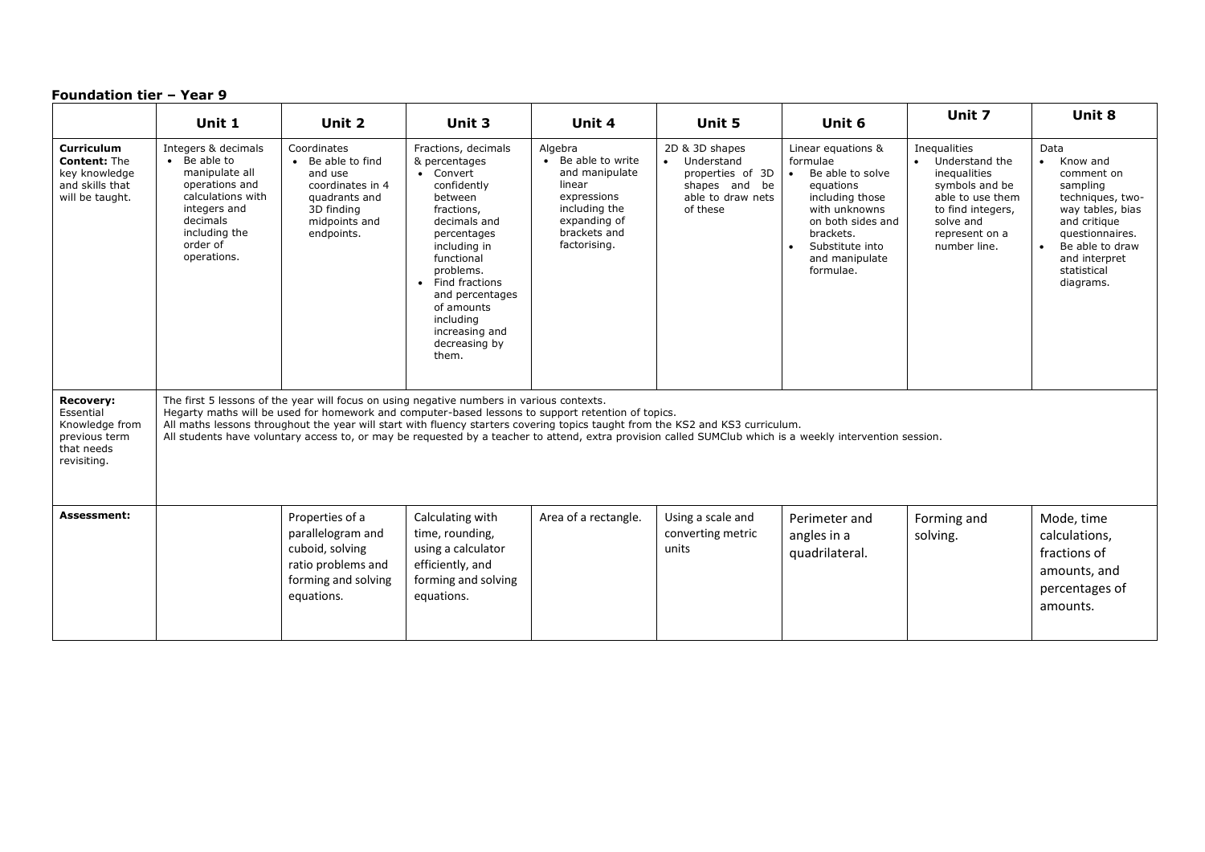|                                                                                               | Unit 1                                                                                                                                                                                                                                                                                                                                                                                                                                                                                         | Unit 2                                                                                                                        | Unit 3                                                                                                                                                                                                                                                                                       | Unit 4                                                                                                                                    | Unit 5                                                                                                          | Unit 6                                                                                                                                                                                               | Unit 7                                                                                                                                                   | Unit 8                                                                                                                                                                                             |
|-----------------------------------------------------------------------------------------------|------------------------------------------------------------------------------------------------------------------------------------------------------------------------------------------------------------------------------------------------------------------------------------------------------------------------------------------------------------------------------------------------------------------------------------------------------------------------------------------------|-------------------------------------------------------------------------------------------------------------------------------|----------------------------------------------------------------------------------------------------------------------------------------------------------------------------------------------------------------------------------------------------------------------------------------------|-------------------------------------------------------------------------------------------------------------------------------------------|-----------------------------------------------------------------------------------------------------------------|------------------------------------------------------------------------------------------------------------------------------------------------------------------------------------------------------|----------------------------------------------------------------------------------------------------------------------------------------------------------|----------------------------------------------------------------------------------------------------------------------------------------------------------------------------------------------------|
| Curriculum<br><b>Content: The</b><br>key knowledge<br>and skills that<br>will be taught.      | Integers & decimals<br>• Be able to<br>manipulate all<br>operations and<br>calculations with<br>integers and<br>decimals<br>including the<br>order of<br>operations.                                                                                                                                                                                                                                                                                                                           | Coordinates<br>• Be able to find<br>and use<br>coordinates in 4<br>quadrants and<br>3D finding<br>midpoints and<br>endpoints. | Fractions, decimals<br>& percentages<br>• Convert<br>confidently<br>between<br>fractions,<br>decimals and<br>percentages<br>including in<br>functional<br>problems.<br>Find fractions<br>$\bullet$<br>and percentages<br>of amounts<br>including<br>increasing and<br>decreasing by<br>them. | Algebra<br>• Be able to write<br>and manipulate<br>linear<br>expressions<br>including the<br>expanding of<br>brackets and<br>factorising. | 2D & 3D shapes<br>Understand<br>$\bullet$<br>properties of 3D<br>shapes and be<br>able to draw nets<br>of these | Linear equations &<br>formulae<br>Be able to solve<br>$\bullet$<br>equations<br>including those<br>with unknowns<br>on both sides and<br>brackets.<br>Substitute into<br>and manipulate<br>formulae. | Inequalities<br>Understand the<br>inequalities<br>symbols and be<br>able to use them<br>to find integers,<br>solve and<br>represent on a<br>number line. | Data<br>Know and<br>$\bullet$<br>comment on<br>sampling<br>techniques, two-<br>way tables, bias<br>and critique<br>questionnaires.<br>Be able to draw<br>and interpret<br>statistical<br>diagrams. |
| <b>Recovery:</b><br>Essential<br>Knowledge from<br>previous term<br>that needs<br>revisiting. | The first 5 lessons of the year will focus on using negative numbers in various contexts.<br>Hegarty maths will be used for homework and computer-based lessons to support retention of topics.<br>All maths lessons throughout the year will start with fluency starters covering topics taught from the KS2 and KS3 curriculum.<br>All students have voluntary access to, or may be requested by a teacher to attend, extra provision called SUMClub which is a weekly intervention session. |                                                                                                                               |                                                                                                                                                                                                                                                                                              |                                                                                                                                           |                                                                                                                 |                                                                                                                                                                                                      |                                                                                                                                                          |                                                                                                                                                                                                    |
| Assessment:                                                                                   |                                                                                                                                                                                                                                                                                                                                                                                                                                                                                                | Properties of a<br>parallelogram and<br>cuboid, solving<br>ratio problems and<br>forming and solving<br>equations.            | Calculating with<br>time, rounding,<br>using a calculator<br>efficiently, and<br>forming and solving<br>equations.                                                                                                                                                                           | Area of a rectangle.                                                                                                                      | Using a scale and<br>converting metric<br>units                                                                 | Perimeter and<br>angles in a<br>quadrilateral.                                                                                                                                                       | Forming and<br>solving.                                                                                                                                  | Mode, time<br>calculations.<br>fractions of<br>amounts, and<br>percentages of<br>amounts.                                                                                                          |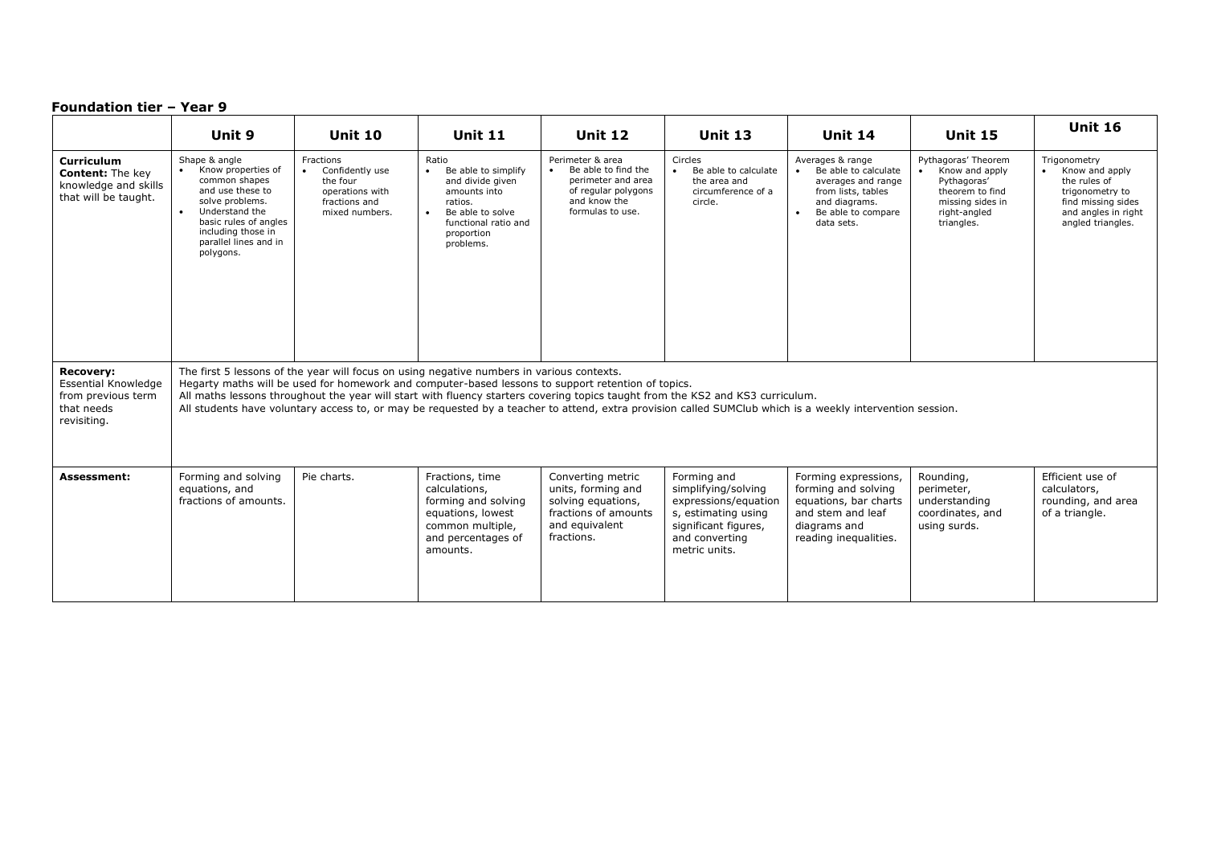|                                                                                                   | Unit 9                                                                                                                                                                                                                                                                                                                                                                                                                                                                                         | <b>Unit 10</b>                                                                                              | <b>Unit 11</b>                                                                                                                                     | <b>Unit 12</b>                                                                                                           | <b>Unit 13</b>                                                                                                                               | <b>Unit 14</b>                                                                                                                                         | <b>Unit 15</b>                                                                                                            | <b>Unit 16</b>                                                                                                                      |  |
|---------------------------------------------------------------------------------------------------|------------------------------------------------------------------------------------------------------------------------------------------------------------------------------------------------------------------------------------------------------------------------------------------------------------------------------------------------------------------------------------------------------------------------------------------------------------------------------------------------|-------------------------------------------------------------------------------------------------------------|----------------------------------------------------------------------------------------------------------------------------------------------------|--------------------------------------------------------------------------------------------------------------------------|----------------------------------------------------------------------------------------------------------------------------------------------|--------------------------------------------------------------------------------------------------------------------------------------------------------|---------------------------------------------------------------------------------------------------------------------------|-------------------------------------------------------------------------------------------------------------------------------------|--|
| <b>Curriculum</b><br><b>Content:</b> The key<br>knowledge and skills<br>that will be taught.      | Shape & angle<br>Know properties of<br>common shapes<br>and use these to<br>solve problems.<br>Understand the<br>basic rules of angles<br>including those in<br>parallel lines and in<br>polygons.                                                                                                                                                                                                                                                                                             | Fractions<br>Confidently use<br>$\bullet$<br>the four<br>operations with<br>fractions and<br>mixed numbers. | Ratio<br>Be able to simplify<br>and divide given<br>amounts into<br>ratios.<br>Be able to solve<br>functional ratio and<br>proportion<br>problems. | Perimeter & area<br>Be able to find the<br>perimeter and area<br>of regular polygons<br>and know the<br>formulas to use. | Circles<br>Be able to calculate<br>$\bullet$<br>the area and<br>circumference of a<br>circle.                                                | Averages & range<br>Be able to calculate<br>averages and range<br>from lists, tables<br>and diagrams.<br>Be able to compare<br>$\bullet$<br>data sets. | Pythagoras' Theorem<br>Know and apply<br>Pythagoras'<br>theorem to find<br>missing sides in<br>right-angled<br>triangles. | Trigonometry<br>Know and apply<br>the rules of<br>trigonometry to<br>find missing sides<br>and angles in right<br>angled triangles. |  |
| <b>Recovery:</b><br><b>Essential Knowledge</b><br>from previous term<br>that needs<br>revisiting. | The first 5 lessons of the year will focus on using negative numbers in various contexts.<br>Hegarty maths will be used for homework and computer-based lessons to support retention of topics.<br>All maths lessons throughout the year will start with fluency starters covering topics taught from the KS2 and KS3 curriculum.<br>All students have voluntary access to, or may be requested by a teacher to attend, extra provision called SUMClub which is a weekly intervention session. |                                                                                                             |                                                                                                                                                    |                                                                                                                          |                                                                                                                                              |                                                                                                                                                        |                                                                                                                           |                                                                                                                                     |  |
| Assessment:                                                                                       | Forming and solving<br>equations, and<br>fractions of amounts.                                                                                                                                                                                                                                                                                                                                                                                                                                 | Pie charts.                                                                                                 | Fractions, time<br>calculations,<br>forming and solving<br>equations, lowest<br>common multiple,<br>and percentages of<br>amounts.                 | Converting metric<br>units, forming and<br>solving equations,<br>fractions of amounts<br>and equivalent<br>fractions.    | Forming and<br>simplifying/solving<br>expressions/equation<br>s, estimating using<br>significant figures,<br>and converting<br>metric units. | Forming expressions,<br>forming and solving<br>equations, bar charts<br>and stem and leaf<br>diagrams and<br>reading inequalities.                     | Rounding,<br>perimeter,<br>understanding<br>coordinates, and<br>using surds.                                              | Efficient use of<br>calculators,<br>rounding, and area<br>of a triangle.                                                            |  |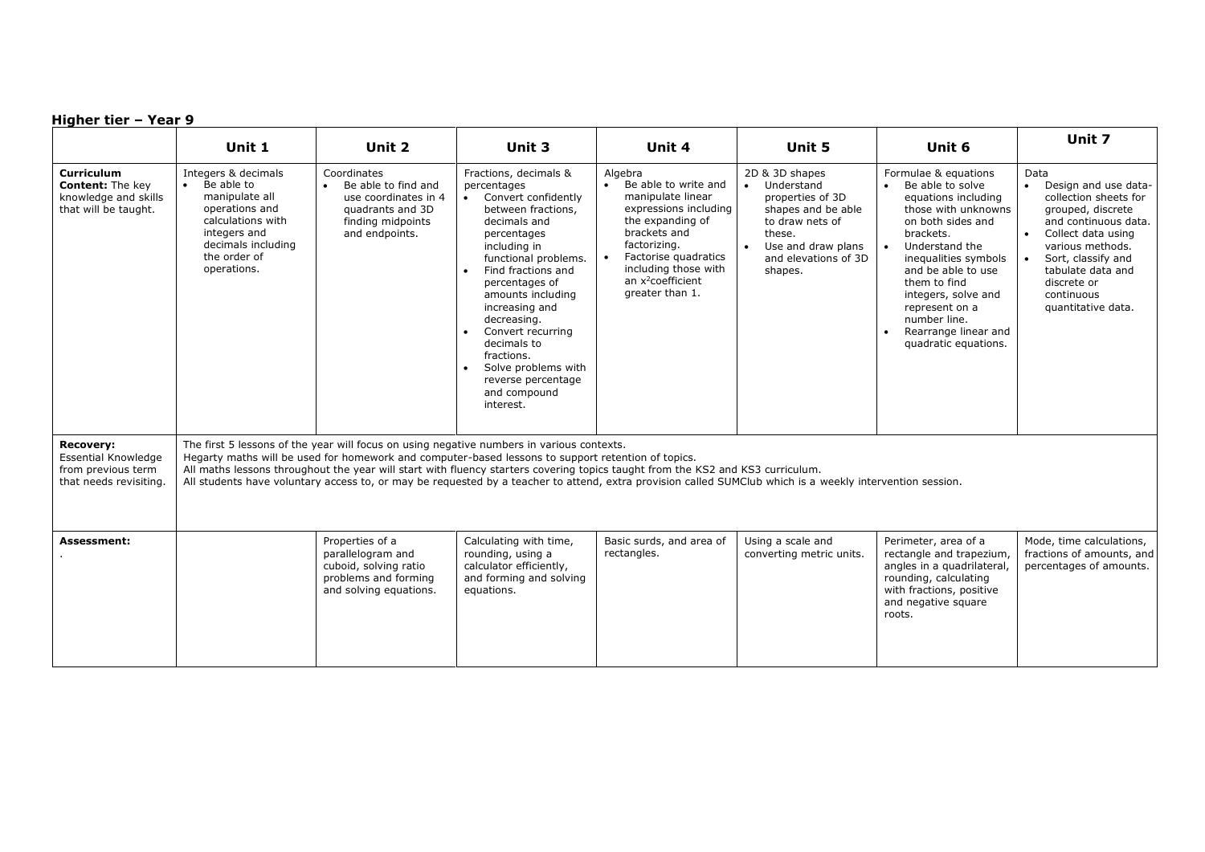|                                                                                         | Unit 1                                                                                                                                                                                                                                                                                                                                                                                                                                                                                         | Unit 2                                                                                                                | Unit 3                                                                                                                                                                                                                                                                                                                                                                               | Unit 4                                                                                                                                                                                                                                             | Unit 5                                                                                                                                                       | Unit 6                                                                                                                                                                                                                                                                                                                                                   | Unit 7                                                                                                                                                                                                                                     |  |
|-----------------------------------------------------------------------------------------|------------------------------------------------------------------------------------------------------------------------------------------------------------------------------------------------------------------------------------------------------------------------------------------------------------------------------------------------------------------------------------------------------------------------------------------------------------------------------------------------|-----------------------------------------------------------------------------------------------------------------------|--------------------------------------------------------------------------------------------------------------------------------------------------------------------------------------------------------------------------------------------------------------------------------------------------------------------------------------------------------------------------------------|----------------------------------------------------------------------------------------------------------------------------------------------------------------------------------------------------------------------------------------------------|--------------------------------------------------------------------------------------------------------------------------------------------------------------|----------------------------------------------------------------------------------------------------------------------------------------------------------------------------------------------------------------------------------------------------------------------------------------------------------------------------------------------------------|--------------------------------------------------------------------------------------------------------------------------------------------------------------------------------------------------------------------------------------------|--|
| Curriculum<br>Content: The key<br>knowledge and skills<br>that will be taught.          | Integers & decimals<br>Be able to<br>manipulate all<br>operations and<br>calculations with<br>integers and<br>decimals including<br>the order of<br>operations.                                                                                                                                                                                                                                                                                                                                | Coordinates<br>Be able to find and<br>use coordinates in 4<br>quadrants and 3D<br>finding midpoints<br>and endpoints. | Fractions, decimals &<br>percentages<br>• Convert confidently<br>between fractions,<br>decimals and<br>percentages<br>including in<br>functional problems.<br>Find fractions and<br>percentages of<br>amounts including<br>increasing and<br>decreasing.<br>Convert recurring<br>decimals to<br>fractions.<br>Solve problems with<br>reverse percentage<br>and compound<br>interest. | Algebra<br>Be able to write and<br>$\bullet$<br>manipulate linear<br>expressions including<br>the expanding of<br>brackets and<br>factorizing.<br>Factorise quadratics<br>including those with<br>an x <sup>2</sup> coefficient<br>greater than 1. | 2D & 3D shapes<br>Understand<br>properties of 3D<br>shapes and be able<br>to draw nets of<br>these.<br>Use and draw plans<br>and elevations of 3D<br>shapes. | Formulae & equations<br>Be able to solve<br>$\bullet$<br>equations including<br>those with unknowns<br>on both sides and<br>brackets.<br>Understand the<br>$\bullet$<br>inequalities symbols<br>and be able to use<br>them to find<br>integers, solve and<br>represent on a<br>number line.<br>Rearrange linear and<br>$\bullet$<br>quadratic equations. | Data<br>Design and use data-<br>collection sheets for<br>grouped, discrete<br>and continuous data.<br>Collect data using<br>various methods.<br>Sort, classify and<br>tabulate data and<br>discrete or<br>continuous<br>quantitative data. |  |
| <b>Recovery:</b><br>Essential Knowledge<br>from previous term<br>that needs revisiting. | The first 5 lessons of the year will focus on using negative numbers in various contexts.<br>Hegarty maths will be used for homework and computer-based lessons to support retention of topics.<br>All maths lessons throughout the year will start with fluency starters covering topics taught from the KS2 and KS3 curriculum.<br>All students have voluntary access to, or may be requested by a teacher to attend, extra provision called SUMClub which is a weekly intervention session. |                                                                                                                       |                                                                                                                                                                                                                                                                                                                                                                                      |                                                                                                                                                                                                                                                    |                                                                                                                                                              |                                                                                                                                                                                                                                                                                                                                                          |                                                                                                                                                                                                                                            |  |
| Assessment:                                                                             |                                                                                                                                                                                                                                                                                                                                                                                                                                                                                                | Properties of a<br>parallelogram and<br>cuboid, solving ratio<br>problems and forming<br>and solving equations.       | Calculating with time,<br>rounding, using a<br>calculator efficiently,<br>and forming and solving<br>equations.                                                                                                                                                                                                                                                                      | Basic surds, and area of<br>rectangles.                                                                                                                                                                                                            | Using a scale and<br>converting metric units.                                                                                                                | Perimeter, area of a<br>rectangle and trapezium,<br>angles in a quadrilateral,<br>rounding, calculating<br>with fractions, positive<br>and negative square<br>roots.                                                                                                                                                                                     | Mode, time calculations,<br>fractions of amounts, and<br>percentages of amounts.                                                                                                                                                           |  |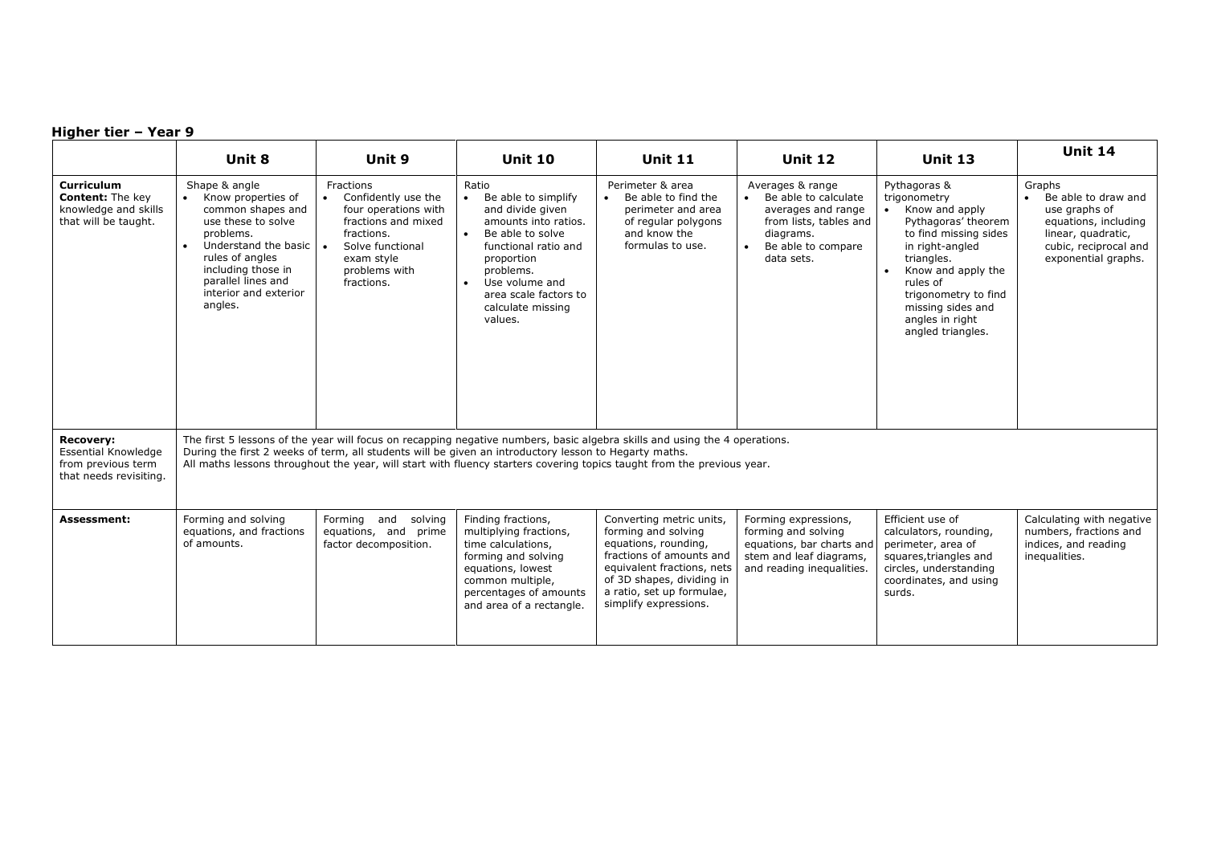|                                                                                                | Unit 8                                                                                                                                                                                                                                                                                                                                                        | Unit 9                                                                                                                                                         | <b>Unit 10</b>                                                                                                                                                                                                                          | <b>Unit 11</b>                                                                                                                                                                                                       | <b>Unit 12</b>                                                                                                                            | <b>Unit 13</b>                                                                                                                                                                                                                                                      | <b>Unit 14</b>                                                                                                                               |  |
|------------------------------------------------------------------------------------------------|---------------------------------------------------------------------------------------------------------------------------------------------------------------------------------------------------------------------------------------------------------------------------------------------------------------------------------------------------------------|----------------------------------------------------------------------------------------------------------------------------------------------------------------|-----------------------------------------------------------------------------------------------------------------------------------------------------------------------------------------------------------------------------------------|----------------------------------------------------------------------------------------------------------------------------------------------------------------------------------------------------------------------|-------------------------------------------------------------------------------------------------------------------------------------------|---------------------------------------------------------------------------------------------------------------------------------------------------------------------------------------------------------------------------------------------------------------------|----------------------------------------------------------------------------------------------------------------------------------------------|--|
| <b>Curriculum</b><br><b>Content:</b> The key<br>knowledge and skills<br>that will be taught.   | Shape & angle<br>Know properties of<br>$\bullet$<br>common shapes and<br>use these to solve<br>problems.<br>Understand the basic $\vert \bullet \vert$<br>$\bullet$<br>rules of angles<br>including those in<br>parallel lines and<br>interior and exterior<br>angles.                                                                                        | Fractions<br>Confidently use the<br>four operations with<br>fractions and mixed<br>fractions.<br>Solve functional<br>exam style<br>problems with<br>fractions. | Ratio<br>Be able to simplify<br>and divide given<br>amounts into ratios.<br>Be able to solve<br>$\bullet$<br>functional ratio and<br>proportion<br>problems.<br>Use volume and<br>area scale factors to<br>calculate missing<br>values. | Perimeter & area<br>Be able to find the<br>$\bullet$<br>perimeter and area<br>of regular polygons<br>and know the<br>formulas to use.                                                                                | Averages & range<br>Be able to calculate<br>averages and range<br>from lists, tables and<br>diagrams.<br>Be able to compare<br>data sets. | Pythagoras &<br>trigonometry<br>Know and apply<br>Pythagoras' theorem<br>to find missing sides<br>in right-angled<br>triangles.<br>Know and apply the<br>$\bullet$<br>rules of<br>trigonometry to find<br>missing sides and<br>angles in right<br>angled triangles. | Graphs<br>Be able to draw and<br>use graphs of<br>equations, including<br>linear, quadratic,<br>cubic, reciprocal and<br>exponential graphs. |  |
| <b>Recovery:</b><br><b>Essential Knowledge</b><br>from previous term<br>that needs revisiting. | The first 5 lessons of the year will focus on recapping negative numbers, basic algebra skills and using the 4 operations.<br>During the first 2 weeks of term, all students will be given an introductory lesson to Hegarty maths.<br>All maths lessons throughout the year, will start with fluency starters covering topics taught from the previous year. |                                                                                                                                                                |                                                                                                                                                                                                                                         |                                                                                                                                                                                                                      |                                                                                                                                           |                                                                                                                                                                                                                                                                     |                                                                                                                                              |  |
| <b>Assessment:</b>                                                                             | Forming and solving<br>equations, and fractions<br>of amounts.                                                                                                                                                                                                                                                                                                | Forming and<br>solving<br>equations, and prime<br>factor decomposition.                                                                                        | Finding fractions,<br>multiplying fractions,<br>time calculations,<br>forming and solving<br>equations, lowest<br>common multiple,<br>percentages of amounts<br>and area of a rectangle.                                                | Converting metric units,<br>forming and solving<br>equations, rounding,<br>fractions of amounts and<br>equivalent fractions, nets<br>of 3D shapes, dividing in<br>a ratio, set up formulae,<br>simplify expressions. | Forming expressions,<br>forming and solving<br>equations, bar charts and<br>stem and leaf diagrams,<br>and reading inequalities.          | Efficient use of<br>calculators, rounding,<br>perimeter, area of<br>squares, triangles and<br>circles, understanding<br>coordinates, and using<br>surds.                                                                                                            | Calculating with negative<br>numbers, fractions and<br>indices, and reading<br>inequalities.                                                 |  |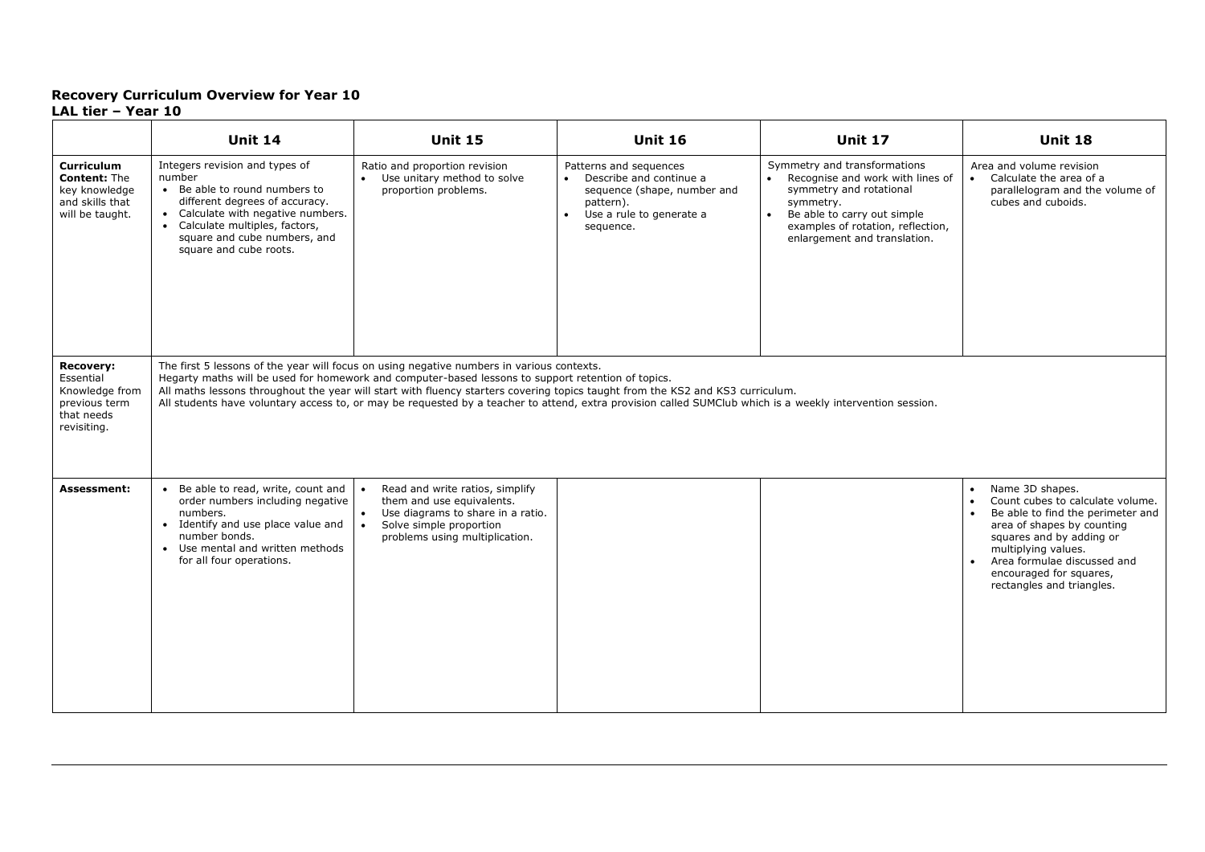#### **Recovery Curriculum Overview for Year 10 LAL tier – Year 10**

|                                                                                                 | <b>Unit 14</b>                                                                                                                                                                                                                                                                                                                                                                                                                                                                                 | <b>Unit 15</b>                                                                                                                                                                           | <b>Unit 16</b>                                                                                                                                        | <b>Unit 17</b>                                                                                                                                                                                                              | <b>Unit 18</b>                                                                                                                                                                                                                                                                |  |  |  |
|-------------------------------------------------------------------------------------------------|------------------------------------------------------------------------------------------------------------------------------------------------------------------------------------------------------------------------------------------------------------------------------------------------------------------------------------------------------------------------------------------------------------------------------------------------------------------------------------------------|------------------------------------------------------------------------------------------------------------------------------------------------------------------------------------------|-------------------------------------------------------------------------------------------------------------------------------------------------------|-----------------------------------------------------------------------------------------------------------------------------------------------------------------------------------------------------------------------------|-------------------------------------------------------------------------------------------------------------------------------------------------------------------------------------------------------------------------------------------------------------------------------|--|--|--|
| <b>Curriculum</b><br><b>Content: The</b><br>key knowledge<br>and skills that<br>will be taught. | Integers revision and types of<br>number<br>• Be able to round numbers to<br>different degrees of accuracy.<br>• Calculate with negative numbers.<br>• Calculate multiples, factors,<br>square and cube numbers, and<br>square and cube roots.                                                                                                                                                                                                                                                 | Ratio and proportion revision<br>• Use unitary method to solve<br>proportion problems.                                                                                                   | Patterns and sequences<br>• Describe and continue a<br>sequence (shape, number and<br>pattern).<br>Use a rule to generate a<br>$\bullet$<br>sequence. | Symmetry and transformations<br>• Recognise and work with lines of<br>symmetry and rotational<br>symmetry.<br>Be able to carry out simple<br>$\bullet$<br>examples of rotation, reflection,<br>enlargement and translation. | Area and volume revision<br>• Calculate the area of a<br>parallelogram and the volume of<br>cubes and cuboids.                                                                                                                                                                |  |  |  |
| <b>Recovery:</b><br>Essential<br>Knowledge from<br>previous term<br>that needs<br>revisiting.   | The first 5 lessons of the year will focus on using negative numbers in various contexts.<br>Hegarty maths will be used for homework and computer-based lessons to support retention of topics.<br>All maths lessons throughout the year will start with fluency starters covering topics taught from the KS2 and KS3 curriculum.<br>All students have voluntary access to, or may be requested by a teacher to attend, extra provision called SUMClub which is a weekly intervention session. |                                                                                                                                                                                          |                                                                                                                                                       |                                                                                                                                                                                                                             |                                                                                                                                                                                                                                                                               |  |  |  |
| <b>Assessment:</b>                                                                              | • Be able to read, write, count and<br>order numbers including negative<br>numbers.<br>• Identify and use place value and<br>number bonds.<br>• Use mental and written methods<br>for all four operations.                                                                                                                                                                                                                                                                                     | Read and write ratios, simplify<br>them and use equivalents.<br>Use diagrams to share in a ratio.<br>$\bullet$<br>$\bullet$<br>Solve simple proportion<br>problems using multiplication. |                                                                                                                                                       |                                                                                                                                                                                                                             | Name 3D shapes.<br>$\bullet$<br>Count cubes to calculate volume.<br>Be able to find the perimeter and<br>area of shapes by counting<br>squares and by adding or<br>multiplying values.<br>Area formulae discussed and<br>encouraged for squares,<br>rectangles and triangles. |  |  |  |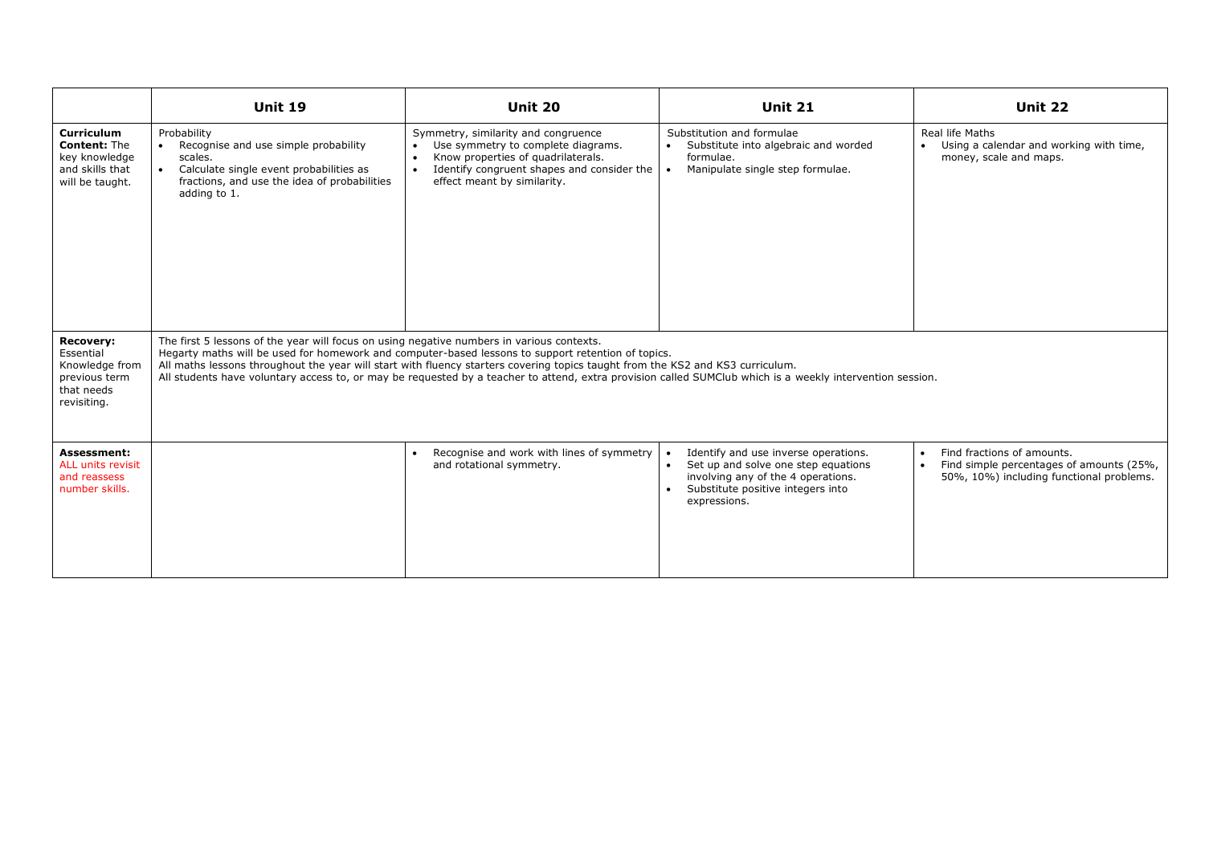|                                                                                                 | <b>Unit 19</b>                                                                                                                                                                                                                                                                                                                                                                                                                                                                                 | <b>Unit 20</b>                                                                                                                                                                                                         | <b>Unit 21</b>                                                                                                                                                         | <b>Unit 22</b>                                                                                                     |  |  |  |  |
|-------------------------------------------------------------------------------------------------|------------------------------------------------------------------------------------------------------------------------------------------------------------------------------------------------------------------------------------------------------------------------------------------------------------------------------------------------------------------------------------------------------------------------------------------------------------------------------------------------|------------------------------------------------------------------------------------------------------------------------------------------------------------------------------------------------------------------------|------------------------------------------------------------------------------------------------------------------------------------------------------------------------|--------------------------------------------------------------------------------------------------------------------|--|--|--|--|
| <b>Curriculum</b><br><b>Content: The</b><br>key knowledge<br>and skills that<br>will be taught. | Probability<br>Recognise and use simple probability<br>scales.<br>Calculate single event probabilities as<br>fractions, and use the idea of probabilities<br>adding to 1.                                                                                                                                                                                                                                                                                                                      | Symmetry, similarity and congruence<br>Use symmetry to complete diagrams.<br>$\bullet$<br>Know properties of quadrilaterals.<br>Identify congruent shapes and consider the<br>$\bullet$<br>effect meant by similarity. | Substitution and formulae<br>Substitute into algebraic and worded<br>$\bullet$<br>formulae.<br>Manipulate single step formulae.                                        | Real life Maths<br>• Using a calendar and working with time,<br>money, scale and maps.                             |  |  |  |  |
| <b>Recovery:</b><br>Essential<br>Knowledge from<br>previous term<br>that needs<br>revisiting.   | The first 5 lessons of the year will focus on using negative numbers in various contexts.<br>Hegarty maths will be used for homework and computer-based lessons to support retention of topics.<br>All maths lessons throughout the year will start with fluency starters covering topics taught from the KS2 and KS3 curriculum.<br>All students have voluntary access to, or may be requested by a teacher to attend, extra provision called SUMClub which is a weekly intervention session. |                                                                                                                                                                                                                        |                                                                                                                                                                        |                                                                                                                    |  |  |  |  |
| Assessment:<br>ALL units revisit<br>and reassess<br>number skills.                              |                                                                                                                                                                                                                                                                                                                                                                                                                                                                                                | Recognise and work with lines of symmetry<br>$\bullet$<br>and rotational symmetry.                                                                                                                                     | Identify and use inverse operations.<br>Set up and solve one step equations<br>involving any of the 4 operations.<br>Substitute positive integers into<br>expressions. | Find fractions of amounts.<br>Find simple percentages of amounts (25%,<br>50%, 10%) including functional problems. |  |  |  |  |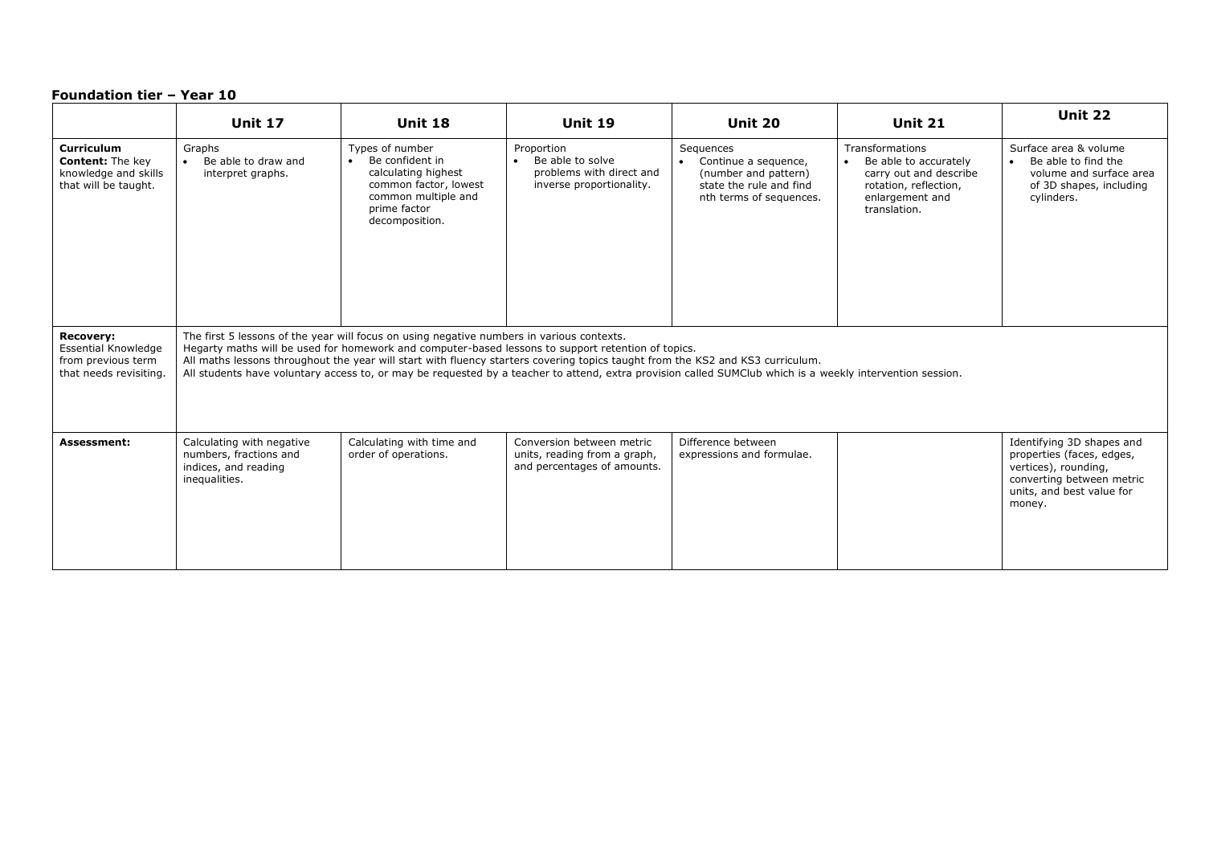|                                                                                                | <b>Unit 17</b>                                                                                                                                                                                                                                                                                                                                                                                                                                                                                 | Unit 18                                                                                                                                                  | Unit 19                                                                                             | Unit 20                                                                                                                      | <b>Unit 21</b>                                                                                                                                     | <b>Unit 22</b>                                                                                                                                     |  |  |
|------------------------------------------------------------------------------------------------|------------------------------------------------------------------------------------------------------------------------------------------------------------------------------------------------------------------------------------------------------------------------------------------------------------------------------------------------------------------------------------------------------------------------------------------------------------------------------------------------|----------------------------------------------------------------------------------------------------------------------------------------------------------|-----------------------------------------------------------------------------------------------------|------------------------------------------------------------------------------------------------------------------------------|----------------------------------------------------------------------------------------------------------------------------------------------------|----------------------------------------------------------------------------------------------------------------------------------------------------|--|--|
| Curriculum<br><b>Content:</b> The key<br>knowledge and skills<br>that will be taught.          | Graphs<br>Be able to draw and<br>$\bullet$<br>interpret graphs.                                                                                                                                                                                                                                                                                                                                                                                                                                | Types of number<br>Be confident in<br>$\bullet$<br>calculating highest<br>common factor, lowest<br>common multiple and<br>prime factor<br>decomposition. | Proportion<br>Be able to solve<br>$\bullet$<br>problems with direct and<br>inverse proportionality. | Sequences<br>Continue a sequence,<br>$\bullet$<br>(number and pattern)<br>state the rule and find<br>nth terms of sequences. | <b>Transformations</b><br>Be able to accurately<br>$\bullet$<br>carry out and describe<br>rotation, reflection,<br>enlargement and<br>translation. | Surface area & volume<br>• Be able to find the<br>volume and surface area<br>of 3D shapes, including<br>cylinders.                                 |  |  |
| <b>Recovery:</b><br><b>Essential Knowledge</b><br>from previous term<br>that needs revisiting. | The first 5 lessons of the year will focus on using negative numbers in various contexts.<br>Hegarty maths will be used for homework and computer-based lessons to support retention of topics.<br>All maths lessons throughout the year will start with fluency starters covering topics taught from the KS2 and KS3 curriculum.<br>All students have voluntary access to, or may be requested by a teacher to attend, extra provision called SUMClub which is a weekly intervention session. |                                                                                                                                                          |                                                                                                     |                                                                                                                              |                                                                                                                                                    |                                                                                                                                                    |  |  |
| <b>Assessment:</b>                                                                             | Calculating with negative<br>numbers, fractions and<br>indices, and reading<br>inequalities.                                                                                                                                                                                                                                                                                                                                                                                                   | Calculating with time and<br>order of operations.                                                                                                        | Conversion between metric<br>units, reading from a graph,<br>and percentages of amounts.            | Difference between<br>expressions and formulae.                                                                              |                                                                                                                                                    | Identifying 3D shapes and<br>properties (faces, edges,<br>vertices), rounding,<br>converting between metric<br>units, and best value for<br>money. |  |  |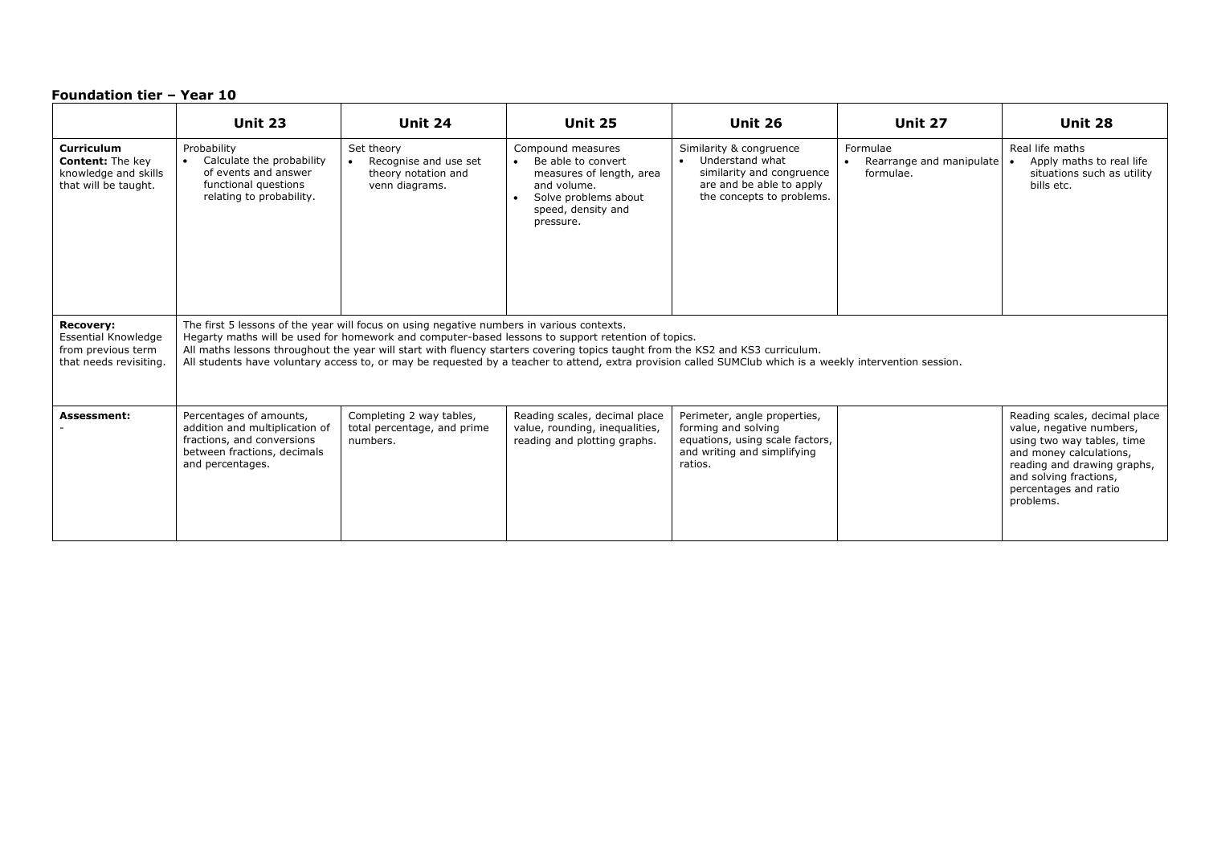|                                                                                                | <b>Unit 23</b>                                                                                                                                                                                                                                                                                                                                                                                                                                                                                 | Unit 24                                                                      | <b>Unit 25</b>                                                                                                                                             | Unit 26                                                                                                                                       | Unit 27                                                        | Unit 28                                                                                                                                                                                                           |  |  |
|------------------------------------------------------------------------------------------------|------------------------------------------------------------------------------------------------------------------------------------------------------------------------------------------------------------------------------------------------------------------------------------------------------------------------------------------------------------------------------------------------------------------------------------------------------------------------------------------------|------------------------------------------------------------------------------|------------------------------------------------------------------------------------------------------------------------------------------------------------|-----------------------------------------------------------------------------------------------------------------------------------------------|----------------------------------------------------------------|-------------------------------------------------------------------------------------------------------------------------------------------------------------------------------------------------------------------|--|--|
| Curriculum<br><b>Content:</b> The key<br>knowledge and skills<br>that will be taught.          | Probability<br>Calculate the probability<br>of events and answer<br>functional questions<br>relating to probability.                                                                                                                                                                                                                                                                                                                                                                           | Set theory<br>Recognise and use set<br>theory notation and<br>venn diagrams. | Compound measures<br>Be able to convert<br>$\bullet$<br>measures of length, area<br>and volume.<br>Solve problems about<br>speed, density and<br>pressure. | Similarity & congruence<br>Understand what<br>$\bullet$<br>similarity and congruence<br>are and be able to apply<br>the concepts to problems. | Formulae<br>Rearrange and manipulate<br>$\bullet$<br>formulae. | Real life maths<br>Apply maths to real life<br>situations such as utility<br>bills etc.                                                                                                                           |  |  |
| <b>Recovery:</b><br><b>Essential Knowledge</b><br>from previous term<br>that needs revisiting. | The first 5 lessons of the year will focus on using negative numbers in various contexts.<br>Hegarty maths will be used for homework and computer-based lessons to support retention of topics.<br>All maths lessons throughout the year will start with fluency starters covering topics taught from the KS2 and KS3 curriculum.<br>All students have voluntary access to, or may be requested by a teacher to attend, extra provision called SUMClub which is a weekly intervention session. |                                                                              |                                                                                                                                                            |                                                                                                                                               |                                                                |                                                                                                                                                                                                                   |  |  |
| <b>Assessment:</b>                                                                             | Percentages of amounts,<br>addition and multiplication of<br>fractions, and conversions<br>between fractions, decimals<br>and percentages.                                                                                                                                                                                                                                                                                                                                                     | Completing 2 way tables,<br>total percentage, and prime<br>numbers.          | Reading scales, decimal place<br>value, rounding, inequalities,<br>reading and plotting graphs.                                                            | Perimeter, angle properties,<br>forming and solving<br>equations, using scale factors,<br>and writing and simplifying<br>ratios.              |                                                                | Reading scales, decimal place<br>value, negative numbers,<br>using two way tables, time<br>and money calculations,<br>reading and drawing graphs,<br>and solving fractions,<br>percentages and ratio<br>problems. |  |  |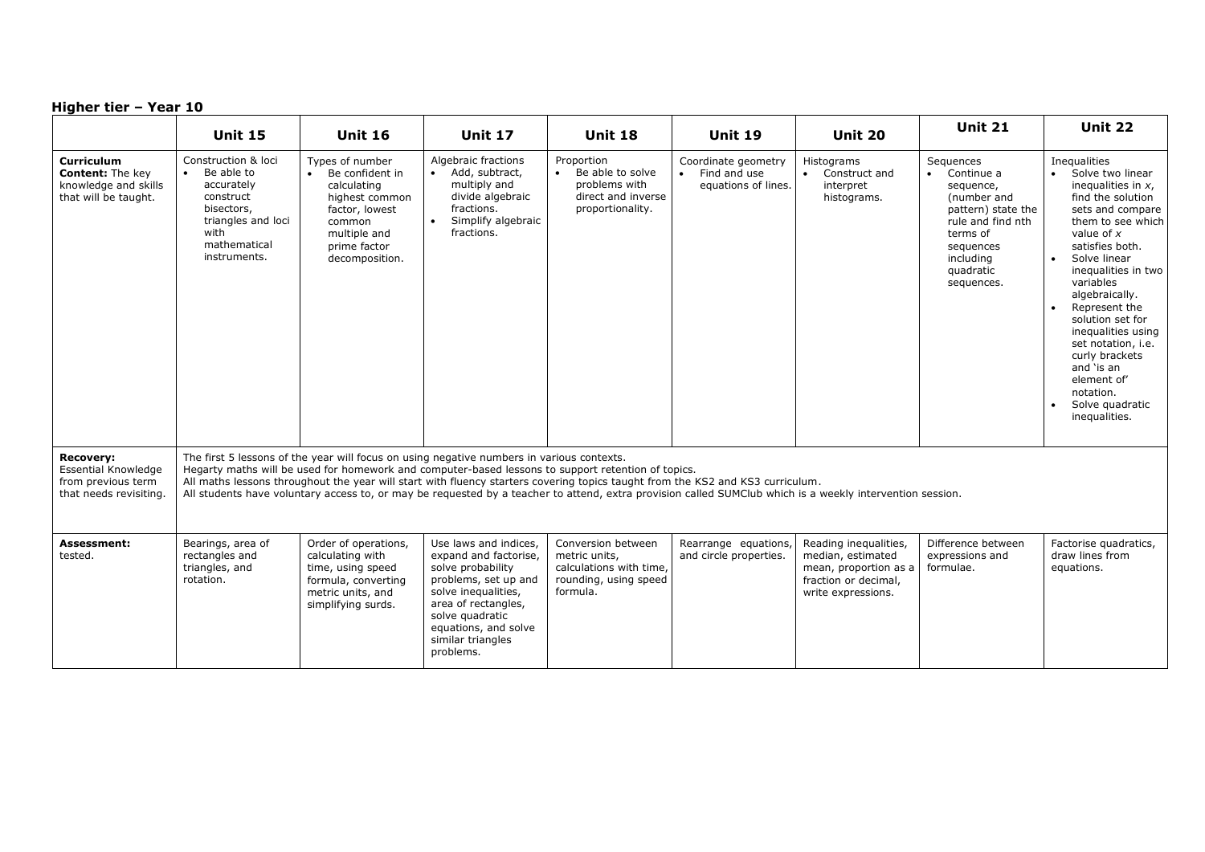|                                                                                                | <b>Unit 15</b>                                                                                                                                                                                                                                                                                                                                                                                                                                                                                 | <b>Unit 16</b>                                                                                                                                    | <b>Unit 17</b>                                                                                                                                                                                                         | <b>Unit 18</b>                                                                                      | <b>Unit 19</b>                                                          | <b>Unit 20</b>                                                                                                    | <b>Unit 21</b>                                                                                                                                                               | Unit 22                                                                                                                                                                                                                                                                                                                                                                                                                                     |
|------------------------------------------------------------------------------------------------|------------------------------------------------------------------------------------------------------------------------------------------------------------------------------------------------------------------------------------------------------------------------------------------------------------------------------------------------------------------------------------------------------------------------------------------------------------------------------------------------|---------------------------------------------------------------------------------------------------------------------------------------------------|------------------------------------------------------------------------------------------------------------------------------------------------------------------------------------------------------------------------|-----------------------------------------------------------------------------------------------------|-------------------------------------------------------------------------|-------------------------------------------------------------------------------------------------------------------|------------------------------------------------------------------------------------------------------------------------------------------------------------------------------|---------------------------------------------------------------------------------------------------------------------------------------------------------------------------------------------------------------------------------------------------------------------------------------------------------------------------------------------------------------------------------------------------------------------------------------------|
| <b>Curriculum</b><br><b>Content:</b> The key<br>knowledge and skills<br>that will be taught.   | Construction & loci<br>Be able to<br>$\bullet$<br>accurately<br>construct<br>bisectors,<br>triangles and loci<br>with<br>mathematical<br>instruments.                                                                                                                                                                                                                                                                                                                                          | Types of number<br>Be confident in<br>calculating<br>highest common<br>factor, lowest<br>common<br>multiple and<br>prime factor<br>decomposition. | Algebraic fractions<br>Add, subtract,<br>$\bullet$<br>multiply and<br>divide algebraic<br>fractions.<br>Simplify algebraic<br>$\bullet$<br>fractions.                                                                  | Proportion<br>• Be able to solve<br>problems with<br>direct and inverse<br>proportionality.         | Coordinate geometry<br>Find and use<br>$\bullet$<br>equations of lines. | Histograms<br>• Construct and<br>interpret<br>histograms.                                                         | Sequences<br>Continue a<br>$\bullet$<br>sequence,<br>(number and<br>pattern) state the<br>rule and find nth<br>terms of<br>sequences<br>including<br>quadratic<br>sequences. | Inequalities<br>Solve two linear<br>$\bullet$<br>inequalities in $x$ ,<br>find the solution<br>sets and compare<br>them to see which<br>value of $x$<br>satisfies both.<br>Solve linear<br>$\bullet$<br>inequalities in two<br>variables<br>algebraically.<br>Represent the<br>solution set for<br>inequalities using<br>set notation, i.e.<br>curly brackets<br>and 'is an<br>element of'<br>notation.<br>Solve quadratic<br>inequalities. |
| <b>Recovery:</b><br><b>Essential Knowledge</b><br>from previous term<br>that needs revisiting. | The first 5 lessons of the year will focus on using negative numbers in various contexts.<br>Hegarty maths will be used for homework and computer-based lessons to support retention of topics.<br>All maths lessons throughout the year will start with fluency starters covering topics taught from the KS2 and KS3 curriculum.<br>All students have voluntary access to, or may be requested by a teacher to attend, extra provision called SUMClub which is a weekly intervention session. |                                                                                                                                                   |                                                                                                                                                                                                                        |                                                                                                     |                                                                         |                                                                                                                   |                                                                                                                                                                              |                                                                                                                                                                                                                                                                                                                                                                                                                                             |
| Assessment:<br>tested.                                                                         | Bearings, area of<br>rectangles and<br>triangles, and<br>rotation.                                                                                                                                                                                                                                                                                                                                                                                                                             | Order of operations,<br>calculating with<br>time, using speed<br>formula, converting<br>metric units, and<br>simplifying surds.                   | Use laws and indices,<br>expand and factorise,<br>solve probability<br>problems, set up and<br>solve inequalities,<br>area of rectangles,<br>solve quadratic<br>equations, and solve<br>similar triangles<br>problems. | Conversion between<br>metric units,<br>calculations with time.<br>rounding, using speed<br>formula. | Rearrange equations<br>and circle properties.                           | Reading inequalities,<br>median, estimated<br>mean, proportion as a<br>fraction or decimal,<br>write expressions. | Difference between<br>expressions and<br>formulae.                                                                                                                           | Factorise quadratics,<br>draw lines from<br>equations.                                                                                                                                                                                                                                                                                                                                                                                      |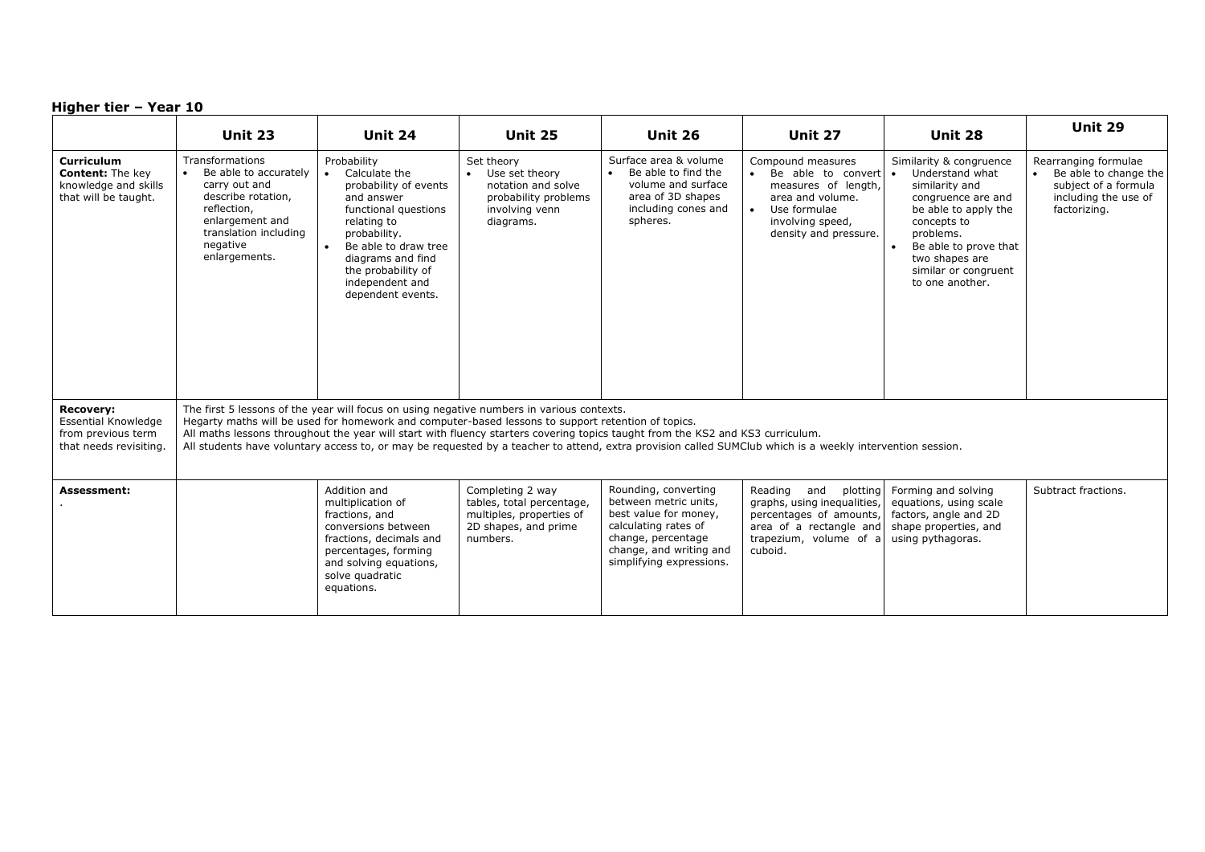|                                                                                                | Unit 23                                                                                                                                                                                                                                                                                                                                                                                                                                                                                        | Unit 24                                                                                                                                                                                                                               | <b>Unit 25</b>                                                                                                | <b>Unit 26</b>                                                                                                                                                              | Unit 27                                                                                                                                                   | Unit 28                                                                                                                                                                                                                                   | Unit 29                                                                                                       |
|------------------------------------------------------------------------------------------------|------------------------------------------------------------------------------------------------------------------------------------------------------------------------------------------------------------------------------------------------------------------------------------------------------------------------------------------------------------------------------------------------------------------------------------------------------------------------------------------------|---------------------------------------------------------------------------------------------------------------------------------------------------------------------------------------------------------------------------------------|---------------------------------------------------------------------------------------------------------------|-----------------------------------------------------------------------------------------------------------------------------------------------------------------------------|-----------------------------------------------------------------------------------------------------------------------------------------------------------|-------------------------------------------------------------------------------------------------------------------------------------------------------------------------------------------------------------------------------------------|---------------------------------------------------------------------------------------------------------------|
| <b>Curriculum</b><br><b>Content:</b> The key<br>knowledge and skills<br>that will be taught.   | Transformations<br>Be able to accurately<br>carry out and<br>describe rotation,<br>reflection,<br>enlargement and<br>translation including<br>negative<br>enlargements.                                                                                                                                                                                                                                                                                                                        | Probability<br>Calculate the<br>probability of events<br>and answer<br>functional questions<br>relating to<br>probability.<br>Be able to draw tree<br>diagrams and find<br>the probability of<br>independent and<br>dependent events. | Set theory<br>• Use set theory<br>notation and solve<br>probability problems<br>involving venn<br>diagrams.   | Surface area & volume<br>Be able to find the<br>$\bullet$<br>volume and surface<br>area of 3D shapes<br>including cones and<br>spheres.                                     | Compound measures<br>Be able to convert $\bullet$<br>measures of length,<br>area and volume.<br>Use formulae<br>involving speed,<br>density and pressure. | Similarity & congruence<br>Understand what<br>similarity and<br>congruence are and<br>be able to apply the<br>concepts to<br>problems.<br>$\bullet$<br>Be able to prove that<br>two shapes are<br>similar or congruent<br>to one another. | Rearranging formulae<br>Be able to change the<br>subject of a formula<br>including the use of<br>factorizing. |
| <b>Recovery:</b><br><b>Essential Knowledge</b><br>from previous term<br>that needs revisiting. | The first 5 lessons of the year will focus on using negative numbers in various contexts.<br>Hegarty maths will be used for homework and computer-based lessons to support retention of topics.<br>All maths lessons throughout the year will start with fluency starters covering topics taught from the KS2 and KS3 curriculum.<br>All students have voluntary access to, or may be requested by a teacher to attend, extra provision called SUMClub which is a weekly intervention session. |                                                                                                                                                                                                                                       |                                                                                                               |                                                                                                                                                                             |                                                                                                                                                           |                                                                                                                                                                                                                                           |                                                                                                               |
| <b>Assessment:</b>                                                                             |                                                                                                                                                                                                                                                                                                                                                                                                                                                                                                | Addition and<br>multiplication of<br>fractions, and<br>conversions between<br>fractions, decimals and<br>percentages, forming<br>and solving equations,<br>solve quadratic<br>equations.                                              | Completing 2 way<br>tables, total percentage,<br>multiples, properties of<br>2D shapes, and prime<br>numbers. | Rounding, converting<br>between metric units,<br>best value for money,<br>calculating rates of<br>change, percentage<br>change, and writing and<br>simplifying expressions. | Reading<br>and<br>plotting<br>graphs, using inequalities,<br>percentages of amounts,<br>area of a rectangle and<br>trapezium, volume of a<br>cuboid.      | Forming and solving<br>equations, using scale<br>factors, angle and 2D<br>shape properties, and<br>using pythagoras.                                                                                                                      | Subtract fractions.                                                                                           |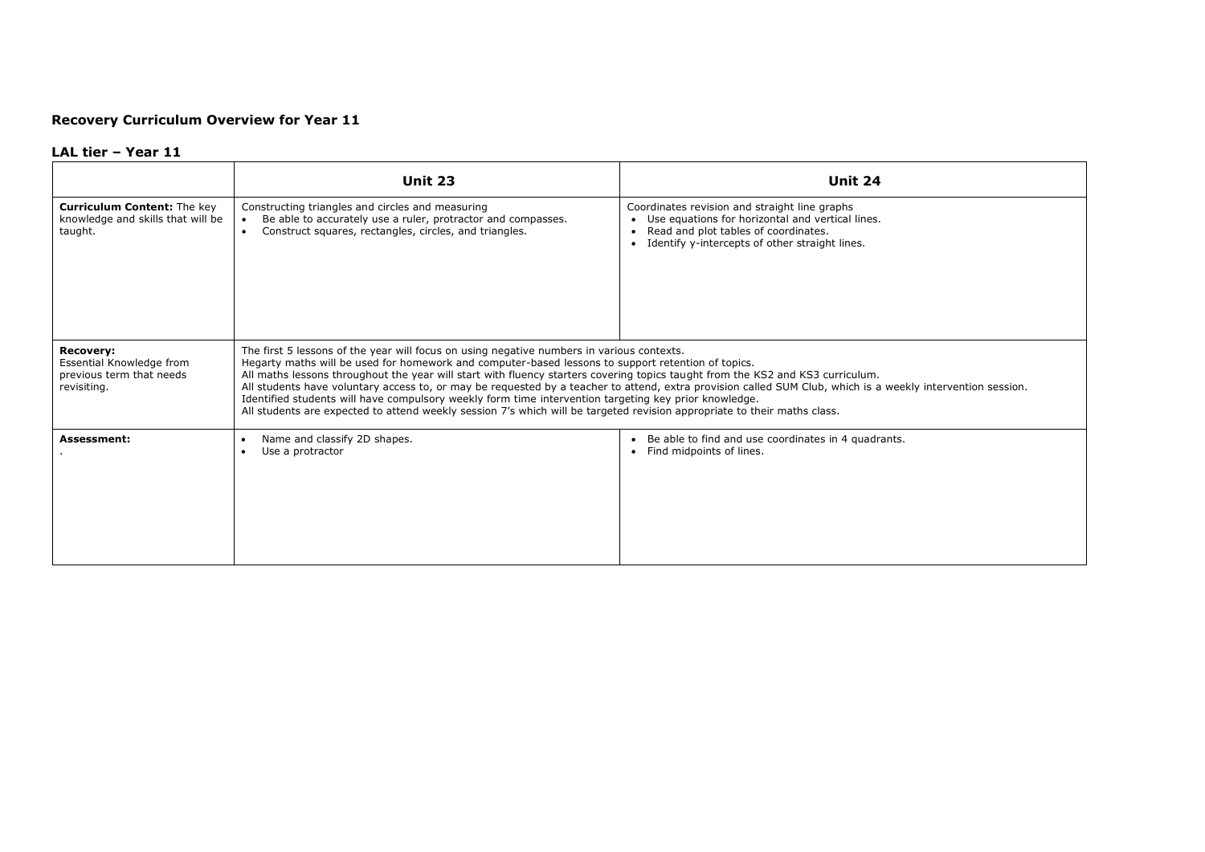# **Recovery Curriculum Overview for Year 11**

### **LAL tier – Year 11**

|                                                                                         | <b>Unit 23</b>                                                                                                                                                                                                                                                                                                                                                                                                                                                                                                                                                         | Unit 24                                                                                                                                                                                       |
|-----------------------------------------------------------------------------------------|------------------------------------------------------------------------------------------------------------------------------------------------------------------------------------------------------------------------------------------------------------------------------------------------------------------------------------------------------------------------------------------------------------------------------------------------------------------------------------------------------------------------------------------------------------------------|-----------------------------------------------------------------------------------------------------------------------------------------------------------------------------------------------|
| <b>Curriculum Content: The key</b><br>knowledge and skills that will be<br>taught.      | Constructing triangles and circles and measuring<br>Be able to accurately use a ruler, protractor and compasses.<br>$\bullet$<br>Construct squares, rectangles, circles, and triangles.<br>$\bullet$                                                                                                                                                                                                                                                                                                                                                                   | Coordinates revision and straight line graphs<br>• Use equations for horizontal and vertical lines.<br>Read and plot tables of coordinates.<br>Identify y-intercepts of other straight lines. |
| <b>Recovery:</b><br>Essential Knowledge from<br>previous term that needs<br>revisiting. | The first 5 lessons of the year will focus on using negative numbers in various contexts.<br>Hegarty maths will be used for homework and computer-based lessons to support retention of topics.<br>All maths lessons throughout the year will start with fluency starters covering topics taught from the KS2 and KS3 curriculum.<br>Identified students will have compulsory weekly form time intervention targeting key prior knowledge.<br>All students are expected to attend weekly session 7's which will be targeted revision appropriate to their maths class. | All students have voluntary access to, or may be requested by a teacher to attend, extra provision called SUM Club, which is a weekly intervention session.                                   |
| <b>Assessment:</b>                                                                      | Name and classify 2D shapes.<br>٠<br>Use a protractor                                                                                                                                                                                                                                                                                                                                                                                                                                                                                                                  | Be able to find and use coordinates in 4 quadrants.<br>$\bullet$<br>Find midpoints of lines.                                                                                                  |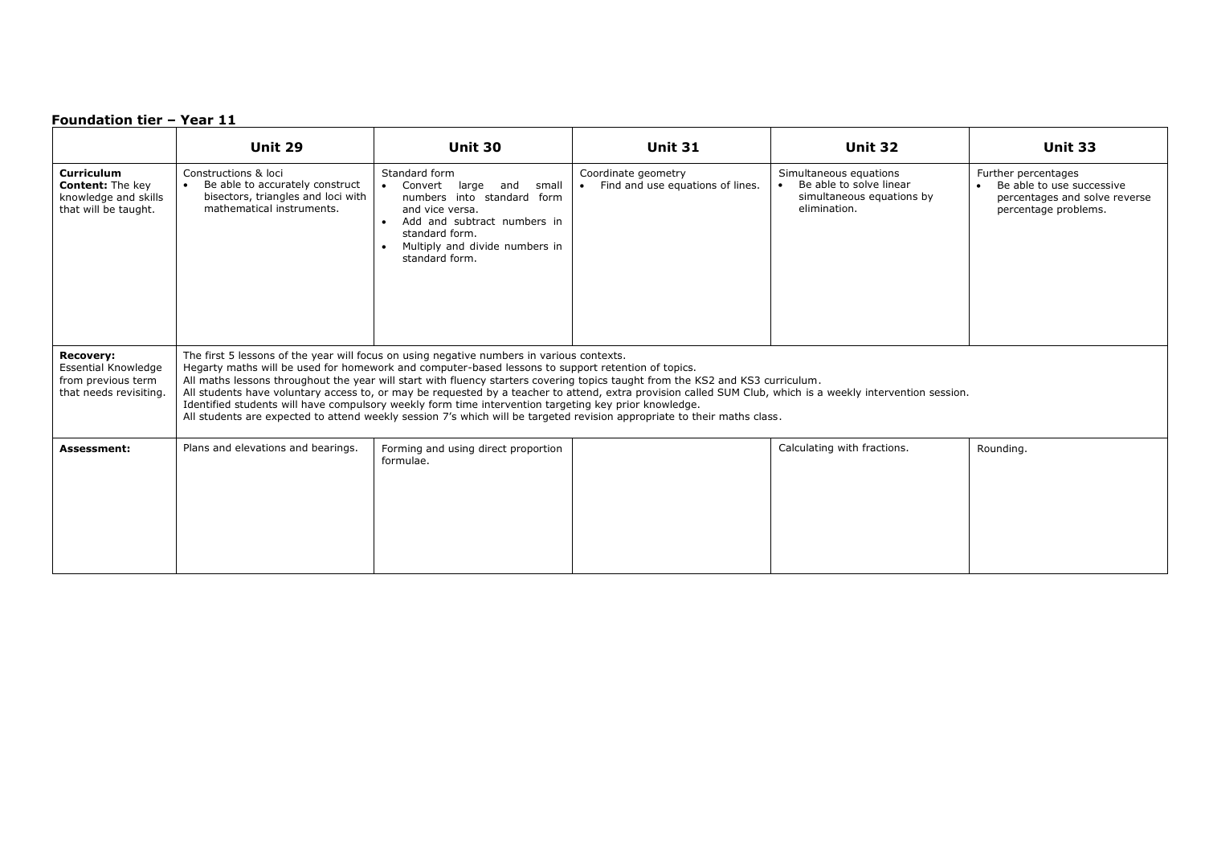|                                                                                                | Unit 29                                                                                                                                                                                                                                                                                                                                                                                                                                                                                                                                                                                                                                                                                                                               | Unit 30                                                                                                                                                                                                                                        | <b>Unit 31</b>                                          | Unit 32                                                                                        | <b>Unit 33</b>                                                                                            |  |
|------------------------------------------------------------------------------------------------|---------------------------------------------------------------------------------------------------------------------------------------------------------------------------------------------------------------------------------------------------------------------------------------------------------------------------------------------------------------------------------------------------------------------------------------------------------------------------------------------------------------------------------------------------------------------------------------------------------------------------------------------------------------------------------------------------------------------------------------|------------------------------------------------------------------------------------------------------------------------------------------------------------------------------------------------------------------------------------------------|---------------------------------------------------------|------------------------------------------------------------------------------------------------|-----------------------------------------------------------------------------------------------------------|--|
| Curriculum<br><b>Content:</b> The key<br>knowledge and skills<br>that will be taught.          | Constructions & loci<br>Be able to accurately construct<br>bisectors, triangles and loci with<br>mathematical instruments.                                                                                                                                                                                                                                                                                                                                                                                                                                                                                                                                                                                                            | Standard form<br>Convert<br>large<br>and<br>small<br>$\bullet$<br>numbers into standard form<br>and vice versa.<br>Add and subtract numbers in<br>$\bullet$<br>standard form.<br>Multiply and divide numbers in<br>$\bullet$<br>standard form. | Coordinate geometry<br>Find and use equations of lines. | Simultaneous equations<br>Be able to solve linear<br>simultaneous equations by<br>elimination. | Further percentages<br>Be able to use successive<br>percentages and solve reverse<br>percentage problems. |  |
| <b>Recovery:</b><br><b>Essential Knowledge</b><br>from previous term<br>that needs revisiting. | The first 5 lessons of the year will focus on using negative numbers in various contexts.<br>Hegarty maths will be used for homework and computer-based lessons to support retention of topics.<br>All maths lessons throughout the year will start with fluency starters covering topics taught from the KS2 and KS3 curriculum.<br>All students have voluntary access to, or may be requested by a teacher to attend, extra provision called SUM Club, which is a weekly intervention session.<br>Identified students will have compulsory weekly form time intervention targeting key prior knowledge.<br>All students are expected to attend weekly session 7's which will be targeted revision appropriate to their maths class. |                                                                                                                                                                                                                                                |                                                         |                                                                                                |                                                                                                           |  |
| <b>Assessment:</b>                                                                             | Plans and elevations and bearings.                                                                                                                                                                                                                                                                                                                                                                                                                                                                                                                                                                                                                                                                                                    | Forming and using direct proportion<br>formulae.                                                                                                                                                                                               |                                                         | Calculating with fractions.                                                                    | Rounding.                                                                                                 |  |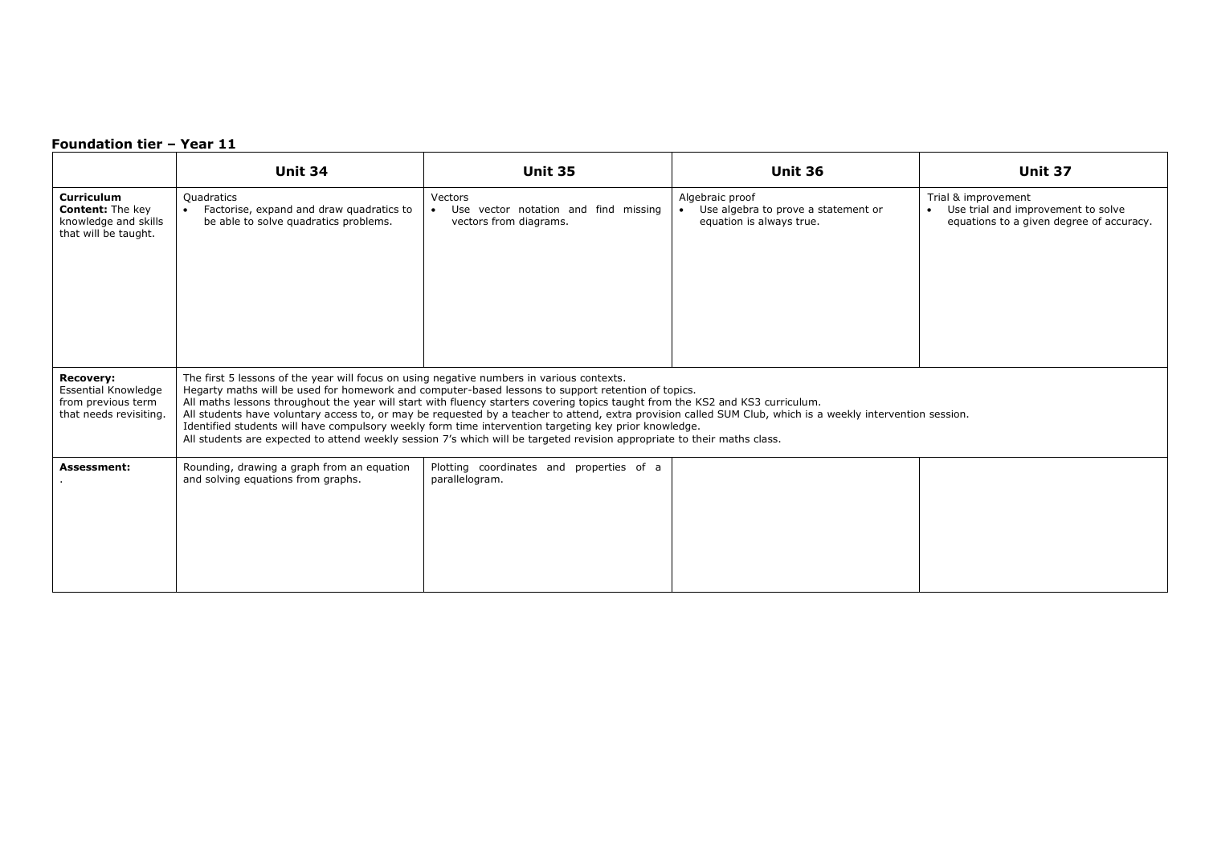|                                                                                                | <b>Unit 34</b>                                                                                                                                                                                                                                                                                                                                                                                                                                                                                                                                                                                                                                                                                                                        | <b>Unit 35</b>                                                            | <b>Unit 36</b>                                                                                  | Unit 37                                                                                                            |  |  |
|------------------------------------------------------------------------------------------------|---------------------------------------------------------------------------------------------------------------------------------------------------------------------------------------------------------------------------------------------------------------------------------------------------------------------------------------------------------------------------------------------------------------------------------------------------------------------------------------------------------------------------------------------------------------------------------------------------------------------------------------------------------------------------------------------------------------------------------------|---------------------------------------------------------------------------|-------------------------------------------------------------------------------------------------|--------------------------------------------------------------------------------------------------------------------|--|--|
| Curriculum<br><b>Content:</b> The key<br>knowledge and skills<br>that will be taught.          | Quadratics<br>Factorise, expand and draw quadratics to<br>be able to solve quadratics problems.                                                                                                                                                                                                                                                                                                                                                                                                                                                                                                                                                                                                                                       | Vectors<br>Use vector notation and find missing<br>vectors from diagrams. | Algebraic proof<br>Use algebra to prove a statement or<br>$\bullet$<br>equation is always true. | Trial & improvement<br>Use trial and improvement to solve<br>$\bullet$<br>equations to a given degree of accuracy. |  |  |
| <b>Recovery:</b><br><b>Essential Knowledge</b><br>from previous term<br>that needs revisiting. | The first 5 lessons of the year will focus on using negative numbers in various contexts.<br>Hegarty maths will be used for homework and computer-based lessons to support retention of topics.<br>All maths lessons throughout the year will start with fluency starters covering topics taught from the KS2 and KS3 curriculum.<br>All students have voluntary access to, or may be requested by a teacher to attend, extra provision called SUM Club, which is a weekly intervention session.<br>Identified students will have compulsory weekly form time intervention targeting key prior knowledge.<br>All students are expected to attend weekly session 7's which will be targeted revision appropriate to their maths class. |                                                                           |                                                                                                 |                                                                                                                    |  |  |
| Assessment:                                                                                    | Rounding, drawing a graph from an equation<br>and solving equations from graphs.                                                                                                                                                                                                                                                                                                                                                                                                                                                                                                                                                                                                                                                      | Plotting coordinates and properties of a<br>parallelogram.                |                                                                                                 |                                                                                                                    |  |  |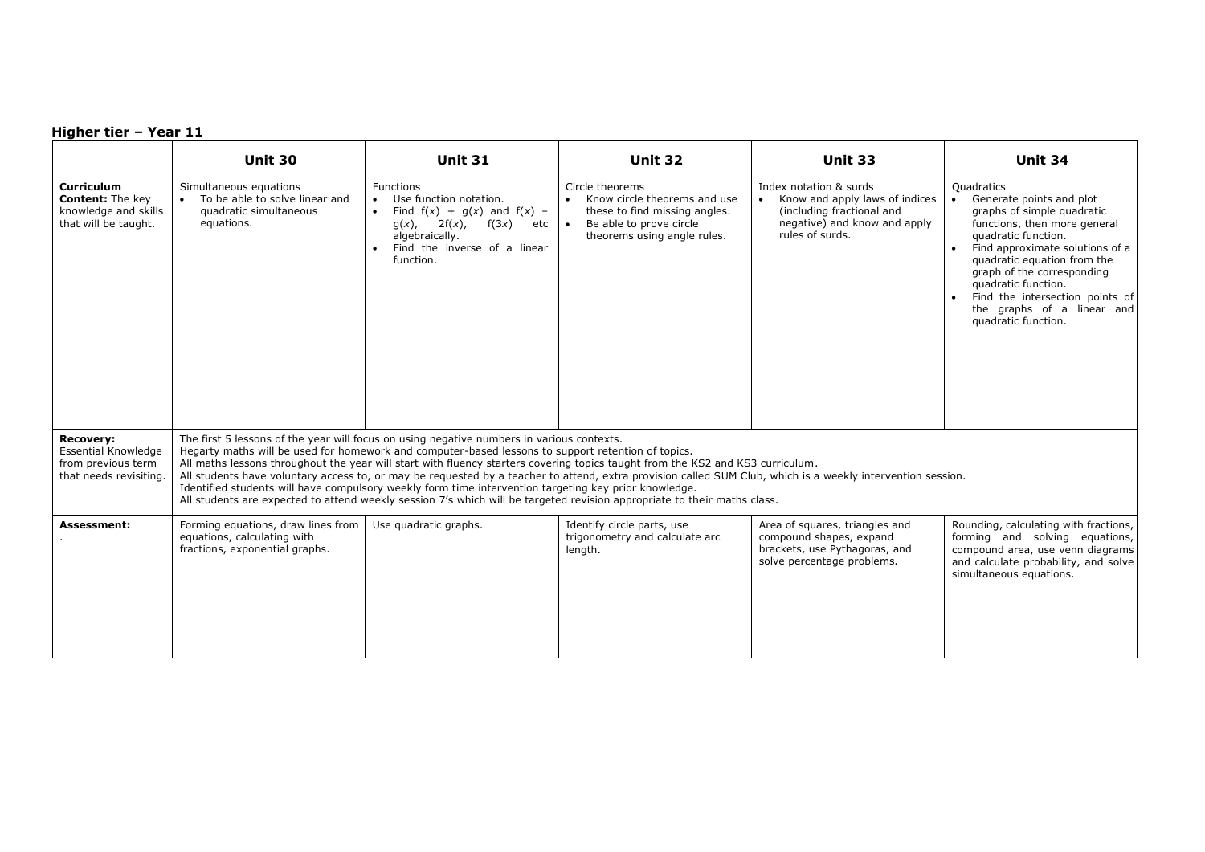|                                                                                                | <b>Unit 30</b>                                                                                                                                                                                                                                                                                                                                                                                                                                                                                                                                                                                                                                                                                                                        | <b>Unit 31</b>                                                                                                                                                                                    | <b>Unit 32</b>                                                                                                                                                       | Unit 33                                                                                                                                  | <b>Unit 34</b>                                                                                                                                                                                                                                                                                                                             |  |
|------------------------------------------------------------------------------------------------|---------------------------------------------------------------------------------------------------------------------------------------------------------------------------------------------------------------------------------------------------------------------------------------------------------------------------------------------------------------------------------------------------------------------------------------------------------------------------------------------------------------------------------------------------------------------------------------------------------------------------------------------------------------------------------------------------------------------------------------|---------------------------------------------------------------------------------------------------------------------------------------------------------------------------------------------------|----------------------------------------------------------------------------------------------------------------------------------------------------------------------|------------------------------------------------------------------------------------------------------------------------------------------|--------------------------------------------------------------------------------------------------------------------------------------------------------------------------------------------------------------------------------------------------------------------------------------------------------------------------------------------|--|
| <b>Curriculum</b><br><b>Content: The key</b><br>knowledge and skills<br>that will be taught.   | Simultaneous equations<br>To be able to solve linear and<br>quadratic simultaneous<br>equations.                                                                                                                                                                                                                                                                                                                                                                                                                                                                                                                                                                                                                                      | <b>Functions</b><br>Use function notation.<br>Find $f(x) + g(x)$ and $f(x)$ -<br>$2f(x)$ , $f(3x)$<br>$g(x)$ ,<br>etc<br>algebraically.<br>Find the inverse of a linear<br>$\bullet$<br>function. | Circle theorems<br>Know circle theorems and use<br>$\bullet$<br>these to find missing angles.<br>Be able to prove circle<br>$\bullet$<br>theorems using angle rules. | Index notation & surds<br>Know and apply laws of indices<br>(including fractional and<br>negative) and know and apply<br>rules of surds. | Quadratics<br>Generate points and plot<br>graphs of simple quadratic<br>functions, then more general<br>quadratic function.<br>Find approximate solutions of a<br>quadratic equation from the<br>graph of the corresponding<br>quadratic function.<br>Find the intersection points of<br>the graphs of a linear and<br>quadratic function. |  |
| <b>Recovery:</b><br><b>Essential Knowledge</b><br>from previous term<br>that needs revisiting. | The first 5 lessons of the year will focus on using negative numbers in various contexts.<br>Hegarty maths will be used for homework and computer-based lessons to support retention of topics.<br>All maths lessons throughout the year will start with fluency starters covering topics taught from the KS2 and KS3 curriculum.<br>All students have voluntary access to, or may be requested by a teacher to attend, extra provision called SUM Club, which is a weekly intervention session.<br>Identified students will have compulsory weekly form time intervention targeting key prior knowledge.<br>All students are expected to attend weekly session 7's which will be targeted revision appropriate to their maths class. |                                                                                                                                                                                                   |                                                                                                                                                                      |                                                                                                                                          |                                                                                                                                                                                                                                                                                                                                            |  |
| <b>Assessment:</b>                                                                             | Forming equations, draw lines from<br>equations, calculating with<br>fractions, exponential graphs.                                                                                                                                                                                                                                                                                                                                                                                                                                                                                                                                                                                                                                   | Use quadratic graphs.                                                                                                                                                                             | Identify circle parts, use<br>trigonometry and calculate arc<br>length.                                                                                              | Area of squares, triangles and<br>compound shapes, expand<br>brackets, use Pythagoras, and<br>solve percentage problems.                 | Rounding, calculating with fractions,<br>forming and solving equations,<br>compound area, use venn diagrams<br>and calculate probability, and solve<br>simultaneous equations.                                                                                                                                                             |  |